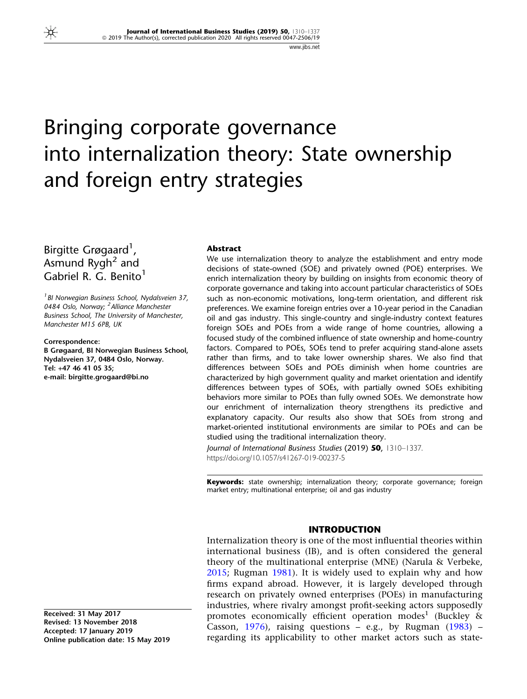# Bringing corporate governance into internalization theory: State ownership and foreign entry strategies

## Birgitte Grøgaard<sup>1</sup>, Asmund  $Rygh^2$  and Gabriel R. G. Benito<sup>1</sup>

<sup>1</sup> BI Norwegian Business School, Nydalsveien 37, 0484 Oslo, Norway; <sup>2</sup> Alliance Manchester Business School, The University of Manchester, Manchester M15 6PB, UK

Correspondence: B Grøgaard, BI Norwegian Business School, Nydalsveien 37, 0484 Oslo, Norway. Tel: +47 46 41 05 35; e-mail: birgitte.grogaard@bi.no

#### Abstract

We use internalization theory to analyze the establishment and entry mode decisions of state-owned (SOE) and privately owned (POE) enterprises. We enrich internalization theory by building on insights from economic theory of corporate governance and taking into account particular characteristics of SOEs such as non-economic motivations, long-term orientation, and different risk preferences. We examine foreign entries over a 10-year period in the Canadian oil and gas industry. This single-country and single-industry context features foreign SOEs and POEs from a wide range of home countries, allowing a focused study of the combined influence of state ownership and home-country factors. Compared to POEs, SOEs tend to prefer acquiring stand-alone assets rather than firms, and to take lower ownership shares. We also find that differences between SOEs and POEs diminish when home countries are characterized by high government quality and market orientation and identify differences between types of SOEs, with partially owned SOEs exhibiting behaviors more similar to POEs than fully owned SOEs. We demonstrate how our enrichment of internalization theory strengthens its predictive and explanatory capacity. Our results also show that SOEs from strong and market-oriented institutional environments are similar to POEs and can be studied using the traditional internalization theory.

Journal of International Business Studies (2019) 50, 1310-1337. https://doi.org/10.1057/s41267-019-00237-5

**Keywords:** state ownership; internalization theory; corporate governance; foreign market entry; multinational enterprise; oil and gas industry

### INTRODUCTION

Internalization theory is one of the most influential theories within international business (IB), and is often considered the general theory of the multinational enterprise (MNE) (Narula & Verbeke, [2015;](#page-26-0) Rugman [1981](#page-26-0)). It is widely used to explain why and how firms expand abroad. However, it is largely developed through research on privately owned enterprises (POEs) in manufacturing industries, where rivalry amongst profit-seeking actors supposedly promotes economically efficient operation modes<sup>1</sup> (Buckley  $\&$ Casson, [1976\)](#page-25-0), raising questions  $-$  e.g., by Rugman [\(1983](#page-26-0))  $$ regarding its applicability to other market actors such as state-

Received: 31 May 2017 Revised: 13 November 2018 Accepted: 17 January 2019 Online publication date: 15 May 2019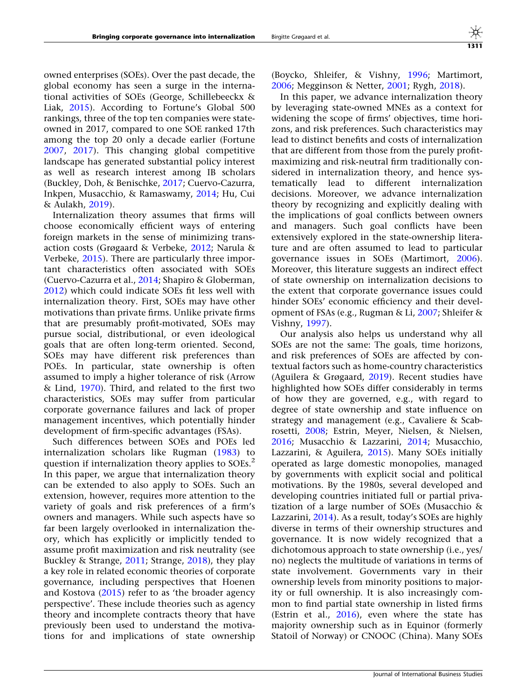owned enterprises (SOEs). Over the past decade, the global economy has seen a surge in the international activities of SOEs (George, Schillebeeckx & Liak, [2015](#page-25-0)). According to Fortune's Global 500 rankings, three of the top ten companies were stateowned in 2017, compared to one SOE ranked 17th among the top 20 only a decade earlier (Fortune [2007,](#page-25-0) [2017\)](#page-25-0). This changing global competitive landscape has generated substantial policy interest as well as research interest among IB scholars (Buckley, Doh, & Benischke, [2017;](#page-25-0) Cuervo-Cazurra, Inkpen, Musacchio, & Ramaswamy, [2014;](#page-25-0) Hu, Cui & Aulakh, [2019](#page-26-0)).

Internalization theory assumes that firms will choose economically efficient ways of entering foreign markets in the sense of minimizing transaction costs (Grøgaard & Verbeke, [2012;](#page-25-0) Narula & Verbeke, [2015\)](#page-26-0). There are particularly three important characteristics often associated with SOEs (Cuervo-Cazurra et al., [2014](#page-25-0); Shapiro & Globerman, [2012\)](#page-26-0) which could indicate SOEs fit less well with internalization theory. First, SOEs may have other motivations than private firms. Unlike private firms that are presumably profit-motivated, SOEs may pursue social, distributional, or even ideological goals that are often long-term oriented. Second, SOEs may have different risk preferences than POEs. In particular, state ownership is often assumed to imply a higher tolerance of risk (Arrow & Lind, [1970](#page-24-0)). Third, and related to the first two characteristics, SOEs may suffer from particular corporate governance failures and lack of proper management incentives, which potentially hinder development of firm-specific advantages (FSAs).

Such differences between SOEs and POEs led internalization scholars like Rugman ([1983\)](#page-26-0) to question if internalization theory applies to  $SOEs<sup>2</sup>$ . In this paper, we argue that internalization theory can be extended to also apply to SOEs. Such an extension, however, requires more attention to the variety of goals and risk preferences of a firm's owners and managers. While such aspects have so far been largely overlooked in internalization theory, which has explicitly or implicitly tended to assume profit maximization and risk neutrality (see Buckley & Strange, [2011;](#page-25-0) Strange, [2018\)](#page-27-0), they play a key role in related economic theories of corporate governance, including perspectives that Hoenen and Kostova ([2015\)](#page-25-0) refer to as 'the broader agency perspective'. These include theories such as agency theory and incomplete contracts theory that have previously been used to understand the motivations for and implications of state ownership (Boycko, Shleifer, & Vishny, [1996;](#page-24-0) Martimort, [2006;](#page-26-0) Megginson & Netter, [2001;](#page-26-0) Rygh, [2018\)](#page-26-0).

In this paper, we advance internalization theory by leveraging state-owned MNEs as a context for widening the scope of firms' objectives, time horizons, and risk preferences. Such characteristics may lead to distinct benefits and costs of internalization that are different from those from the purely profitmaximizing and risk-neutral firm traditionally considered in internalization theory, and hence systematically lead to different internalization decisions. Moreover, we advance internalization theory by recognizing and explicitly dealing with the implications of goal conflicts between owners and managers. Such goal conflicts have been extensively explored in the state-ownership literature and are often assumed to lead to particular governance issues in SOEs (Martimort, [2006](#page-26-0)). Moreover, this literature suggests an indirect effect of state ownership on internalization decisions to the extent that corporate governance issues could hinder SOEs' economic efficiency and their development of FSAs (e.g., Rugman & Li, [2007;](#page-26-0) Shleifer & Vishny, [1997\)](#page-26-0).

Our analysis also helps us understand why all SOEs are not the same: The goals, time horizons, and risk preferences of SOEs are affected by contextual factors such as home-country characteristics (Aguilera & Grøgaard, [2019\)](#page-24-0). Recent studies have highlighted how SOEs differ considerably in terms of how they are governed, e.g., with regard to degree of state ownership and state influence on strategy and management (e.g., Cavaliere & Scabrosetti, [2008;](#page-25-0) Estrin, Meyer, Nielsen, & Nielsen, [2016;](#page-25-0) Musacchio & Lazzarini, [2014](#page-26-0); Musacchio, Lazzarini, & Aguilera, [2015\)](#page-26-0). Many SOEs initially operated as large domestic monopolies, managed by governments with explicit social and political motivations. By the 1980s, several developed and developing countries initiated full or partial privatization of a large number of SOEs (Musacchio & Lazzarini, [2014](#page-26-0)). As a result, today's SOEs are highly diverse in terms of their ownership structures and governance. It is now widely recognized that a dichotomous approach to state ownership (i.e., yes/ no) neglects the multitude of variations in terms of state involvement. Governments vary in their ownership levels from minority positions to majority or full ownership. It is also increasingly common to find partial state ownership in listed firms (Estrin et al.,  $2016$ ), even where the state has majority ownership such as in Equinor (formerly Statoil of Norway) or CNOOC (China). Many SOEs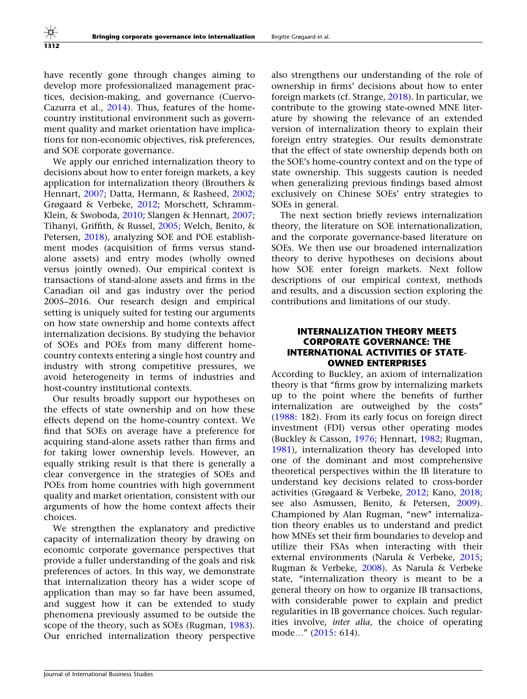have recently gone through changes aiming to develop more professionalized management practices, decision-making, and governance (Cuervo-Cazurra et al., [2014\)](#page-25-0). Thus, features of the homecountry institutional environment such as government quality and market orientation have implications for non-economic objectives, risk preferences, and SOE corporate governance.

We apply our enriched internalization theory to decisions about how to enter foreign markets, a key application for internalization theory (Brouthers & Hennart, [2007;](#page-24-0) Datta, Hermann, & Rasheed, [2002;](#page-25-0) Grøgaard & Verbeke, [2012](#page-25-0); Morschett, Schramm-Klein, & Swoboda, [2010](#page-26-0); Slangen & Hennart, [2007;](#page-26-0) Tihanyi, Griffith, & Russel, [2005;](#page-27-0) Welch, Benito, & Petersen, [2018](#page-27-0)), analyzing SOE and POE establishment modes (acquisition of firms versus standalone assets) and entry modes (wholly owned versus jointly owned). Our empirical context is transactions of stand-alone assets and firms in the Canadian oil and gas industry over the period 2005–2016. Our research design and empirical setting is uniquely suited for testing our arguments on how state ownership and home contexts affect internalization decisions. By studying the behavior of SOEs and POEs from many different homecountry contexts entering a single host country and industry with strong competitive pressures, we avoid heterogeneity in terms of industries and host-country institutional contexts.

Our results broadly support our hypotheses on the effects of state ownership and on how these effects depend on the home-country context. We find that SOEs on average have a preference for acquiring stand-alone assets rather than firms and for taking lower ownership levels. However, an equally striking result is that there is generally a clear convergence in the strategies of SOEs and POEs from home countries with high government quality and market orientation, consistent with our arguments of how the home context affects their choices.

We strengthen the explanatory and predictive capacity of internalization theory by drawing on economic corporate governance perspectives that provide a fuller understanding of the goals and risk preferences of actors. In this way, we demonstrate that internalization theory has a wider scope of application than may so far have been assumed, and suggest how it can be extended to study phenomena previously assumed to be outside the scope of the theory, such as SOEs (Rugman, [1983\)](#page-26-0). Our enriched internalization theory perspective

also strengthens our understanding of the role of ownership in firms' decisions about how to enter foreign markets (cf. Strange, [2018](#page-27-0)). In particular, we contribute to the growing state-owned MNE literature by showing the relevance of an extended version of internalization theory to explain their foreign entry strategies. Our results demonstrate that the effect of state ownership depends both on the SOE's home-country context and on the type of state ownership. This suggests caution is needed when generalizing previous findings based almost exclusively on Chinese SOEs' entry strategies to SOEs in general.

The next section briefly reviews internalization theory, the literature on SOE internationalization, and the corporate governance-based literature on SOEs. We then use our broadened internalization theory to derive hypotheses on decisions about how SOE enter foreign markets. Next follow descriptions of our empirical context, methods and results, and a discussion section exploring the contributions and limitations of our study.

## INTERNALIZATION THEORY MEETS CORPORATE GOVERNANCE: THE INTERNATIONAL ACTIVITIES OF STATE-OWNED ENTERPRISES

According to Buckley, an axiom of internalization theory is that ''firms grow by internalizing markets up to the point where the benefits of further internalization are outweighed by the costs'' [\(1988](#page-25-0): 182). From its early focus on foreign direct investment (FDI) versus other operating modes (Buckley & Casson, [1976](#page-25-0); Hennart, [1982;](#page-25-0) Rugman, [1981\)](#page-26-0), internalization theory has developed into one of the dominant and most comprehensive theoretical perspectives within the IB literature to understand key decisions related to cross-border activities (Grøgaard & Verbeke, [2012;](#page-25-0) Kano, [2018;](#page-26-0) see also Asmussen, Benito, & Petersen, [2009](#page-24-0)). Championed by Alan Rugman, "new" internalization theory enables us to understand and predict how MNEs set their firm boundaries to develop and utilize their FSAs when interacting with their external environments (Narula & Verbeke, [2015;](#page-26-0) Rugman & Verbeke, [2008\)](#page-26-0). As Narula & Verbeke state, "internalization theory is meant to be a general theory on how to organize IB transactions, with considerable power to explain and predict regularities in IB governance choices. Such regularities involve, inter alia, the choice of operating mode…'' ([2015](#page-26-0): 614).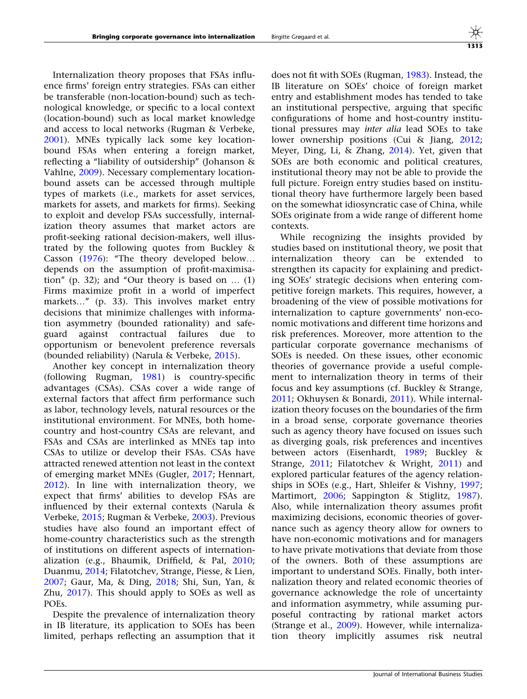Internalization theory proposes that FSAs influence firms' foreign entry strategies. FSAs can either be transferable (non-location-bound) such as technological knowledge, or specific to a local context (location-bound) such as local market knowledge and access to local networks (Rugman & Verbeke, [2001\)](#page-26-0). MNEs typically lack some key locationbound FSAs when entering a foreign market, reflecting a ''liability of outsidership'' (Johanson & Vahlne, [2009\)](#page-26-0). Necessary complementary locationbound assets can be accessed through multiple types of markets (i.e., markets for asset services, markets for assets, and markets for firms). Seeking to exploit and develop FSAs successfully, internalization theory assumes that market actors are profit-seeking rational decision-makers, well illustrated by the following quotes from Buckley & Casson [\(1976](#page-25-0)): "The theory developed below... depends on the assumption of profit-maximisation" (p. 32); and "Our theory is based on  $\dots$  (1) Firms maximize profit in a world of imperfect markets..." (p. 33). This involves market entry decisions that minimize challenges with information asymmetry (bounded rationality) and safeguard against contractual failures due to opportunism or benevolent preference reversals (bounded reliability) (Narula & Verbeke, [2015](#page-26-0)).

Another key concept in internalization theory (following Rugman, [1981](#page-26-0)) is country-specific advantages (CSAs). CSAs cover a wide range of external factors that affect firm performance such as labor, technology levels, natural resources or the institutional environment. For MNEs, both homecountry and host-country CSAs are relevant, and FSAs and CSAs are interlinked as MNEs tap into CSAs to utilize or develop their FSAs. CSAs have attracted renewed attention not least in the context of emerging market MNEs (Gugler, [2017](#page-25-0); Hennart, [2012\)](#page-25-0). In line with internalization theory, we expect that firms' abilities to develop FSAs are influenced by their external contexts (Narula & Verbeke, [2015;](#page-26-0) Rugman & Verbeke, [2003\)](#page-26-0). Previous studies have also found an important effect of home-country characteristics such as the strength of institutions on different aspects of internationalization (e.g., Bhaumik, Driffield, & Pal, [2010;](#page-24-0) Duanmu, [2014](#page-25-0); Filatotchev, Strange, Piesse, & Lien, [2007;](#page-25-0) Gaur, Ma, & Ding, [2018](#page-25-0); Shi, Sun, Yan, & Zhu, [2017\)](#page-26-0). This should apply to SOEs as well as POEs.

Despite the prevalence of internalization theory in IB literature, its application to SOEs has been limited, perhaps reflecting an assumption that it does not fit with SOEs (Rugman, [1983\)](#page-26-0). Instead, the IB literature on SOEs' choice of foreign market entry and establishment modes has tended to take an institutional perspective, arguing that specific configurations of home and host-country institutional pressures may inter alia lead SOEs to take lower ownership positions (Cui & Jiang, [2012;](#page-25-0) Meyer, Ding, Li, & Zhang, [2014\)](#page-26-0). Yet, given that SOEs are both economic and political creatures, institutional theory may not be able to provide the full picture. Foreign entry studies based on institutional theory have furthermore largely been based on the somewhat idiosyncratic case of China, while SOEs originate from a wide range of different home contexts.

While recognizing the insights provided by studies based on institutional theory, we posit that internalization theory can be extended to strengthen its capacity for explaining and predicting SOEs' strategic decisions when entering competitive foreign markets. This requires, however, a broadening of the view of possible motivations for internalization to capture governments' non-economic motivations and different time horizons and risk preferences. Moreover, more attention to the particular corporate governance mechanisms of SOEs is needed. On these issues, other economic theories of governance provide a useful complement to internalization theory in terms of their focus and key assumptions (cf. Buckley & Strange, [2011;](#page-25-0) Okhuysen & Bonardi, [2011\)](#page-26-0). While internalization theory focuses on the boundaries of the firm in a broad sense, corporate governance theories such as agency theory have focused on issues such as diverging goals, risk preferences and incentives between actors (Eisenhardt, [1989;](#page-25-0) Buckley & Strange, [2011](#page-25-0); Filatotchev & Wright, [2011\)](#page-25-0) and explored particular features of the agency relationships in SOEs (e.g., Hart, Shleifer & Vishny, [1997;](#page-25-0) Martimort, [2006](#page-26-0); Sappington & Stiglitz, [1987](#page-26-0)). Also, while internalization theory assumes profit maximizing decisions, economic theories of governance such as agency theory allow for owners to have non-economic motivations and for managers to have private motivations that deviate from those of the owners. Both of these assumptions are important to understand SOEs. Finally, both internalization theory and related economic theories of governance acknowledge the role of uncertainty and information asymmetry, while assuming purposeful contracting by rational market actors (Strange et al., [2009](#page-27-0)). However, while internalization theory implicitly assumes risk neutral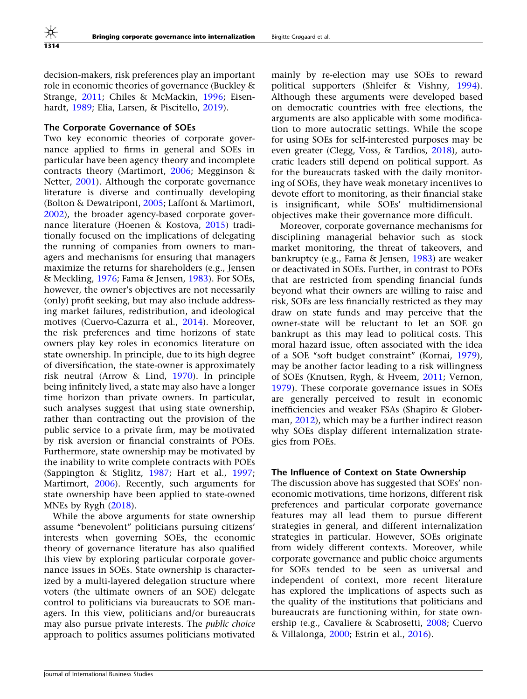decision-makers, risk preferences play an important role in economic theories of governance (Buckley & Strange, [2011](#page-25-0); Chiles & McMackin, [1996](#page-25-0); Eisenhardt, [1989;](#page-25-0) Elia, Larsen, & Piscitello, [2019](#page-25-0)).

#### The Corporate Governance of SOEs

Two key economic theories of corporate governance applied to firms in general and SOEs in particular have been agency theory and incomplete contracts theory (Martimort, [2006;](#page-26-0) Megginson & Netter, [2001\)](#page-26-0). Although the corporate governance literature is diverse and continually developing (Bolton & Dewatripont, [2005;](#page-24-0) Laffont & Martimort, [2002\)](#page-26-0), the broader agency-based corporate governance literature (Hoenen & Kostova, [2015](#page-25-0)) traditionally focused on the implications of delegating the running of companies from owners to managers and mechanisms for ensuring that managers maximize the returns for shareholders (e.g., Jensen & Meckling, [1976](#page-26-0); Fama & Jensen, [1983\)](#page-25-0). For SOEs, however, the owner's objectives are not necessarily (only) profit seeking, but may also include addressing market failures, redistribution, and ideological motives (Cuervo-Cazurra et al., [2014](#page-25-0)). Moreover, the risk preferences and time horizons of state owners play key roles in economics literature on state ownership. In principle, due to its high degree of diversification, the state-owner is approximately risk neutral (Arrow & Lind, [1970\)](#page-24-0). In principle being infinitely lived, a state may also have a longer time horizon than private owners. In particular, such analyses suggest that using state ownership, rather than contracting out the provision of the public service to a private firm, may be motivated by risk aversion or financial constraints of POEs. Furthermore, state ownership may be motivated by the inability to write complete contracts with POEs (Sappington & Stiglitz, [1987](#page-26-0); Hart et al., [1997;](#page-25-0) Martimort, [2006\)](#page-26-0). Recently, such arguments for state ownership have been applied to state-owned MNEs by Rygh ([2018](#page-26-0)).

While the above arguments for state ownership assume ''benevolent'' politicians pursuing citizens' interests when governing SOEs, the economic theory of governance literature has also qualified this view by exploring particular corporate governance issues in SOEs. State ownership is characterized by a multi-layered delegation structure where voters (the ultimate owners of an SOE) delegate control to politicians via bureaucrats to SOE managers. In this view, politicians and/or bureaucrats may also pursue private interests. The public choice approach to politics assumes politicians motivated

mainly by re-election may use SOEs to reward political supporters (Shleifer & Vishny, [1994](#page-26-0)). Although these arguments were developed based on democratic countries with free elections, the arguments are also applicable with some modification to more autocratic settings. While the scope for using SOEs for self-interested purposes may be even greater (Clegg, Voss, & Tardios, [2018\)](#page-25-0), autocratic leaders still depend on political support. As for the bureaucrats tasked with the daily monitoring of SOEs, they have weak monetary incentives to devote effort to monitoring, as their financial stake is insignificant, while SOEs' multidimensional objectives make their governance more difficult.

Moreover, corporate governance mechanisms for disciplining managerial behavior such as stock market monitoring, the threat of takeovers, and bankruptcy (e.g., Fama & Jensen, [1983](#page-25-0)) are weaker or deactivated in SOEs. Further, in contrast to POEs that are restricted from spending financial funds beyond what their owners are willing to raise and risk, SOEs are less financially restricted as they may draw on state funds and may perceive that the owner-state will be reluctant to let an SOE go bankrupt as this may lead to political costs. This moral hazard issue, often associated with the idea of a SOE ''soft budget constraint'' (Kornai, [1979](#page-26-0)), may be another factor leading to a risk willingness of SOEs (Knutsen, Rygh, & Hveem, [2011;](#page-26-0) Vernon, [1979\)](#page-27-0). These corporate governance issues in SOEs are generally perceived to result in economic inefficiencies and weaker FSAs (Shapiro & Globerman, [2012](#page-26-0)), which may be a further indirect reason why SOEs display different internalization strategies from POEs.

#### The Influence of Context on State Ownership

The discussion above has suggested that SOEs' noneconomic motivations, time horizons, different risk preferences and particular corporate governance features may all lead them to pursue different strategies in general, and different internalization strategies in particular. However, SOEs originate from widely different contexts. Moreover, while corporate governance and public choice arguments for SOEs tended to be seen as universal and independent of context, more recent literature has explored the implications of aspects such as the quality of the institutions that politicians and bureaucrats are functioning within, for state ownership (e.g., Cavaliere & Scabrosetti, [2008](#page-25-0); Cuervo & Villalonga, [2000](#page-25-0); Estrin et al., [2016\)](#page-25-0).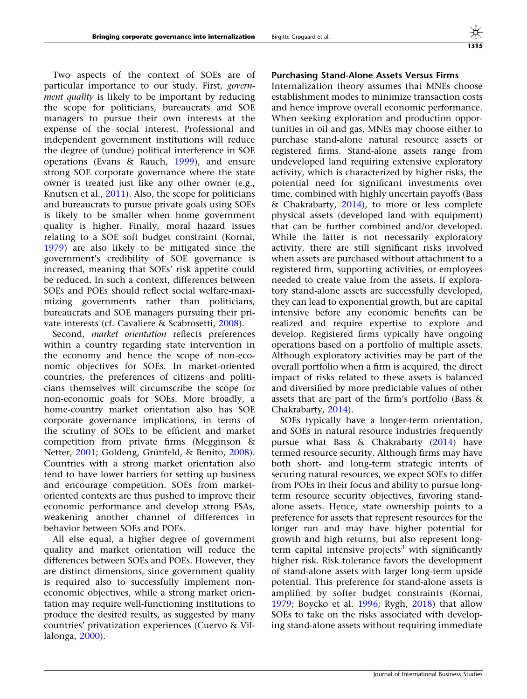Two aspects of the context of SOEs are of particular importance to our study. First, government quality is likely to be important by reducing the scope for politicians, bureaucrats and SOE managers to pursue their own interests at the expense of the social interest. Professional and independent government institutions will reduce the degree of (undue) political interference in SOE operations (Evans & Rauch, [1999\)](#page-25-0), and ensure strong SOE corporate governance where the state owner is treated just like any other owner (e.g., Knutsen et al., [2011](#page-26-0)). Also, the scope for politicians and bureaucrats to pursue private goals using SOEs is likely to be smaller when home government quality is higher. Finally, moral hazard issues relating to a SOE soft budget constraint (Kornai, [1979\)](#page-26-0) are also likely to be mitigated since the government's credibility of SOE governance is increased, meaning that SOEs' risk appetite could be reduced. In such a context, differences between SOEs and POEs should reflect social welfare-maximizing governments rather than politicians, bureaucrats and SOE managers pursuing their private interests (cf. Cavaliere & Scabrosetti, [2008\)](#page-25-0).

Second, market orientation reflects preferences within a country regarding state intervention in the economy and hence the scope of non-economic objectives for SOEs. In market-oriented countries, the preferences of citizens and politicians themselves will circumscribe the scope for non-economic goals for SOEs. More broadly, a home-country market orientation also has SOE corporate governance implications, in terms of the scrutiny of SOEs to be efficient and market competition from private firms (Megginson & Netter, [2001](#page-26-0); Goldeng, Grünfeld, & Benito, [2008\)](#page-25-0). Countries with a strong market orientation also tend to have lower barriers for setting up business and encourage competition. SOEs from marketoriented contexts are thus pushed to improve their economic performance and develop strong FSAs, weakening another channel of differences in behavior between SOEs and POEs.

All else equal, a higher degree of government quality and market orientation will reduce the differences between SOEs and POEs. However, they are distinct dimensions, since government quality is required also to successfully implement noneconomic objectives, while a strong market orientation may require well-functioning institutions to produce the desired results, as suggested by many countries' privatization experiences (Cuervo & Villalonga, [2000](#page-25-0)).

## Purchasing Stand-Alone Assets Versus Firms

Internalization theory assumes that MNEs choose establishment modes to minimize transaction costs and hence improve overall economic performance. When seeking exploration and production opportunities in oil and gas, MNEs may choose either to purchase stand-alone natural resource assets or registered firms. Stand-alone assets range from undeveloped land requiring extensive exploratory activity, which is characterized by higher risks, the potential need for significant investments over time, combined with highly uncertain payoffs (Bass & Chakrabarty, [2014](#page-24-0)), to more or less complete physical assets (developed land with equipment) that can be further combined and/or developed. While the latter is not necessarily exploratory activity, there are still significant risks involved when assets are purchased without attachment to a registered firm, supporting activities, or employees needed to create value from the assets. If exploratory stand-alone assets are successfully developed, they can lead to exponential growth, but are capital intensive before any economic benefits can be realized and require expertise to explore and develop. Registered firms typically have ongoing operations based on a portfolio of multiple assets. Although exploratory activities may be part of the overall portfolio when a firm is acquired, the direct impact of risks related to these assets is balanced and diversified by more predictable values of other assets that are part of the firm's portfolio (Bass & Chakrabarty, [2014](#page-24-0)).

SOEs typically have a longer-term orientation, and SOEs in natural resource industries frequently pursue what Bass & Chakrabarty [\(2014](#page-24-0)) have termed resource security. Although firms may have both short- and long-term strategic intents of securing natural resources, we expect SOEs to differ from POEs in their focus and ability to pursue longterm resource security objectives, favoring standalone assets. Hence, state ownership points to a preference for assets that represent resources for the longer run and may have higher potential for growth and high returns, but also represent longterm capital intensive projects<sup>3</sup> with significantly higher risk. Risk tolerance favors the development of stand-alone assets with larger long-term upside potential. This preference for stand-alone assets is amplified by softer budget constraints (Kornai, [1979;](#page-26-0) Boycko et al. [1996](#page-24-0); Rygh, [2018\)](#page-26-0) that allow SOEs to take on the risks associated with developing stand-alone assets without requiring immediate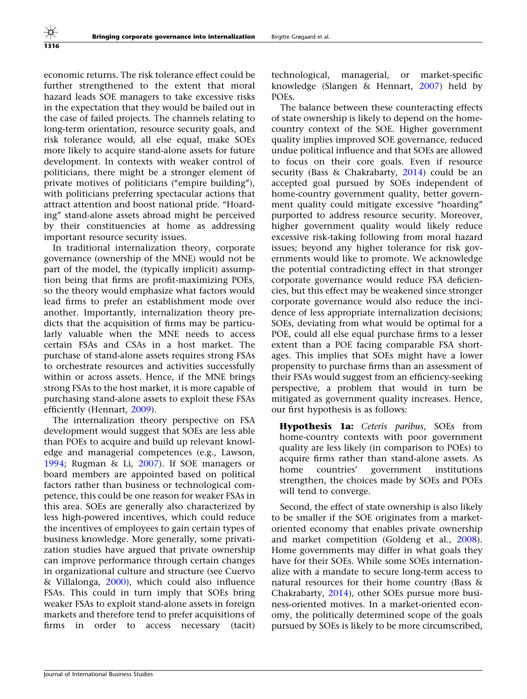economic returns. The risk tolerance effect could be further strengthened to the extent that moral hazard leads SOE managers to take excessive risks in the expectation that they would be bailed out in the case of failed projects. The channels relating to long-term orientation, resource security goals, and risk tolerance would, all else equal, make SOEs more likely to acquire stand-alone assets for future development. In contexts with weaker control of politicians, there might be a stronger element of private motives of politicians ("empire building"), with politicians preferring spectacular actions that attract attention and boost national pride. ''Hoarding'' stand-alone assets abroad might be perceived by their constituencies at home as addressing important resource security issues.

In traditional internalization theory, corporate governance (ownership of the MNE) would not be part of the model, the (typically implicit) assumption being that firms are profit-maximizing POEs, so the theory would emphasize what factors would lead firms to prefer an establishment mode over another. Importantly, internalization theory predicts that the acquisition of firms may be particularly valuable when the MNE needs to access certain FSAs and CSAs in a host market. The purchase of stand-alone assets requires strong FSAs to orchestrate resources and activities successfully within or across assets. Hence, if the MNE brings strong FSAs to the host market, it is more capable of purchasing stand-alone assets to exploit these FSAs efficiently (Hennart, [2009\)](#page-25-0).

The internalization theory perspective on FSA development would suggest that SOEs are less able than POEs to acquire and build up relevant knowledge and managerial competences (e.g., Lawson, [1994;](#page-26-0) Rugman & Li, [2007](#page-26-0)). If SOE managers or board members are appointed based on political factors rather than business or technological competence, this could be one reason for weaker FSAs in this area. SOEs are generally also characterized by less high-powered incentives, which could reduce the incentives of employees to gain certain types of business knowledge. More generally, some privatization studies have argued that private ownership can improve performance through certain changes in organizational culture and structure (see Cuervo & Villalonga, [2000\)](#page-25-0), which could also influence FSAs. This could in turn imply that SOEs bring weaker FSAs to exploit stand-alone assets in foreign markets and therefore tend to prefer acquisitions of firms in order to access necessary (tacit)

technological, managerial, or market-specific knowledge (Slangen & Hennart, [2007\)](#page-26-0) held by POEs.

The balance between these counteracting effects of state ownership is likely to depend on the homecountry context of the SOE. Higher government quality implies improved SOE governance, reduced undue political influence and that SOEs are allowed to focus on their core goals. Even if resource security (Bass & Chakrabarty, [2014](#page-24-0)) could be an accepted goal pursued by SOEs independent of home-country government quality, better government quality could mitigate excessive "hoarding" purported to address resource security. Moreover, higher government quality would likely reduce excessive risk-taking following from moral hazard issues; beyond any higher tolerance for risk governments would like to promote. We acknowledge the potential contradicting effect in that stronger corporate governance would reduce FSA deficiencies, but this effect may be weakened since stronger corporate governance would also reduce the incidence of less appropriate internalization decisions; SOEs, deviating from what would be optimal for a POE, could all else equal purchase firms to a lesser extent than a POE facing comparable FSA shortages. This implies that SOEs might have a lower propensity to purchase firms than an assessment of their FSAs would suggest from an efficiency-seeking perspective, a problem that would in turn be mitigated as government quality increases. Hence, our first hypothesis is as follows:

Hypothesis 1a: Ceteris paribus, SOEs from home-country contexts with poor government quality are less likely (in comparison to POEs) to acquire firms rather than stand-alone assets. As home countries' government institutions strengthen, the choices made by SOEs and POEs will tend to converge.

Second, the effect of state ownership is also likely to be smaller if the SOE originates from a marketoriented economy that enables private ownership and market competition (Goldeng et al., [2008](#page-25-0)). Home governments may differ in what goals they have for their SOEs. While some SOEs internationalize with a mandate to secure long-term access to natural resources for their home country (Bass & Chakrabarty, [2014](#page-24-0)), other SOEs pursue more business-oriented motives. In a market-oriented economy, the politically determined scope of the goals pursued by SOEs is likely to be more circumscribed,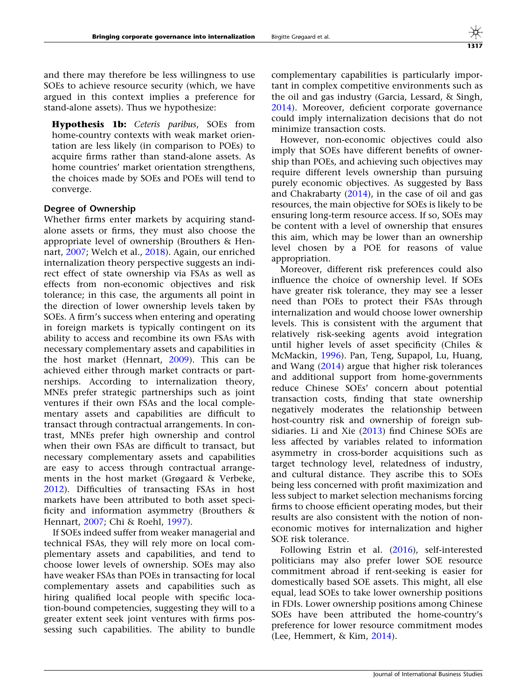and there may therefore be less willingness to use SOEs to achieve resource security (which, we have argued in this context implies a preference for stand-alone assets). Thus we hypothesize:

Hypothesis 1b: Ceteris paribus, SOEs from home-country contexts with weak market orientation are less likely (in comparison to POEs) to acquire firms rather than stand-alone assets. As home countries' market orientation strengthens, the choices made by SOEs and POEs will tend to converge.

#### Degree of Ownership

Whether firms enter markets by acquiring standalone assets or firms, they must also choose the appropriate level of ownership (Brouthers & Hennart, [2007](#page-24-0); Welch et al., [2018\)](#page-27-0). Again, our enriched internalization theory perspective suggests an indirect effect of state ownership via FSAs as well as effects from non-economic objectives and risk tolerance; in this case, the arguments all point in the direction of lower ownership levels taken by SOEs. A firm's success when entering and operating in foreign markets is typically contingent on its ability to access and recombine its own FSAs with necessary complementary assets and capabilities in the host market (Hennart, [2009\)](#page-25-0). This can be achieved either through market contracts or partnerships. According to internalization theory, MNEs prefer strategic partnerships such as joint ventures if their own FSAs and the local complementary assets and capabilities are difficult to transact through contractual arrangements. In contrast, MNEs prefer high ownership and control when their own FSAs are difficult to transact, but necessary complementary assets and capabilities are easy to access through contractual arrangements in the host market (Grøgaard & Verbeke, [2012\)](#page-25-0). Difficulties of transacting FSAs in host markets have been attributed to both asset specificity and information asymmetry (Brouthers & Hennart, [2007;](#page-24-0) Chi & Roehl, [1997\)](#page-25-0).

If SOEs indeed suffer from weaker managerial and technical FSAs, they will rely more on local complementary assets and capabilities, and tend to choose lower levels of ownership. SOEs may also have weaker FSAs than POEs in transacting for local complementary assets and capabilities such as hiring qualified local people with specific location-bound competencies, suggesting they will to a greater extent seek joint ventures with firms possessing such capabilities. The ability to bundle complementary capabilities is particularly important in complex competitive environments such as the oil and gas industry (Garcia, Lessard, & Singh, [2014\)](#page-25-0). Moreover, deficient corporate governance could imply internalization decisions that do not minimize transaction costs.

However, non-economic objectives could also imply that SOEs have different benefits of ownership than POEs, and achieving such objectives may require different levels ownership than pursuing purely economic objectives. As suggested by Bass and Chakrabarty  $(2014)$  $(2014)$ , in the case of oil and gas resources, the main objective for SOEs is likely to be ensuring long-term resource access. If so, SOEs may be content with a level of ownership that ensures this aim, which may be lower than an ownership level chosen by a POE for reasons of value appropriation.

Moreover, different risk preferences could also influence the choice of ownership level. If SOEs have greater risk tolerance, they may see a lesser need than POEs to protect their FSAs through internalization and would choose lower ownership levels. This is consistent with the argument that relatively risk-seeking agents avoid integration until higher levels of asset specificity (Chiles & McMackin, [1996\)](#page-25-0). Pan, Teng, Supapol, Lu, Huang, and Wang ([2014\)](#page-26-0) argue that higher risk tolerances and additional support from home-governments reduce Chinese SOEs' concern about potential transaction costs, finding that state ownership negatively moderates the relationship between host-country risk and ownership of foreign subsidiaries. Li and Xie [\(2013](#page-26-0)) find Chinese SOEs are less affected by variables related to information asymmetry in cross-border acquisitions such as target technology level, relatedness of industry, and cultural distance. They ascribe this to SOEs being less concerned with profit maximization and less subject to market selection mechanisms forcing firms to choose efficient operating modes, but their results are also consistent with the notion of noneconomic motives for internalization and higher SOE risk tolerance.

Following Estrin et al. ([2016\)](#page-25-0), self-interested politicians may also prefer lower SOE resource commitment abroad if rent-seeking is easier for domestically based SOE assets. This might, all else equal, lead SOEs to take lower ownership positions in FDIs. Lower ownership positions among Chinese SOEs have been attributed the home-country's preference for lower resource commitment modes (Lee, Hemmert, & Kim, [2014\)](#page-26-0).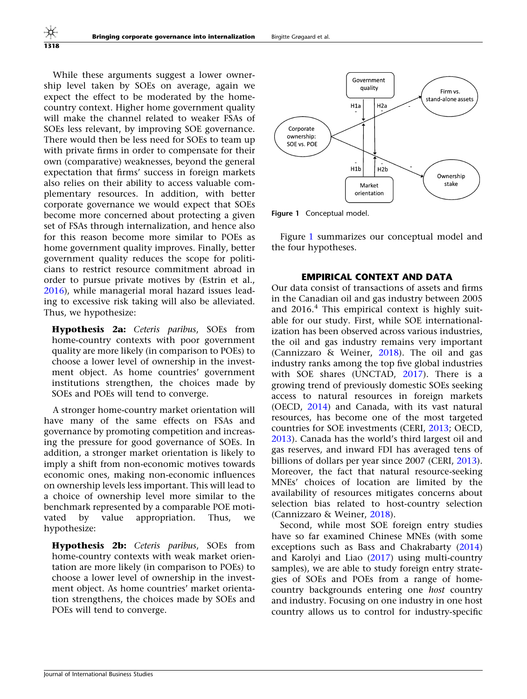While these arguments suggest a lower ownership level taken by SOEs on average, again we expect the effect to be moderated by the homecountry context. Higher home government quality will make the channel related to weaker FSAs of SOEs less relevant, by improving SOE governance. There would then be less need for SOEs to team up with private firms in order to compensate for their own (comparative) weaknesses, beyond the general expectation that firms' success in foreign markets also relies on their ability to access valuable complementary resources. In addition, with better corporate governance we would expect that SOEs become more concerned about protecting a given set of FSAs through internalization, and hence also for this reason become more similar to POEs as home government quality improves. Finally, better government quality reduces the scope for politicians to restrict resource commitment abroad in order to pursue private motives by (Estrin et al., [2016\)](#page-25-0), while managerial moral hazard issues leading to excessive risk taking will also be alleviated. Thus, we hypothesize:

Hypothesis 2a: Ceteris paribus, SOEs from home-country contexts with poor government quality are more likely (in comparison to POEs) to choose a lower level of ownership in the investment object. As home countries' government institutions strengthen, the choices made by SOEs and POEs will tend to converge.

A stronger home-country market orientation will have many of the same effects on FSAs and governance by promoting competition and increasing the pressure for good governance of SOEs. In addition, a stronger market orientation is likely to imply a shift from non-economic motives towards economic ones, making non-economic influences on ownership levels less important. This will lead to a choice of ownership level more similar to the benchmark represented by a comparable POE motivated by value appropriation. Thus, we hypothesize:

Hypothesis 2b: Ceteris paribus, SOEs from home-country contexts with weak market orientation are more likely (in comparison to POEs) to choose a lower level of ownership in the investment object. As home countries' market orientation strengthens, the choices made by SOEs and POEs will tend to converge.



Figure 1 Conceptual model.

Figure 1 summarizes our conceptual model and the four hypotheses.

## EMPIRICAL CONTEXT AND DATA

Our data consist of transactions of assets and firms in the Canadian oil and gas industry between 2005 and  $2016<sup>4</sup>$ . This empirical context is highly suitable for our study. First, while SOE internationalization has been observed across various industries, the oil and gas industry remains very important (Cannizzaro & Weiner,  $2018$ ). The oil and gas industry ranks among the top five global industries with SOE shares (UNCTAD, [2017](#page-27-0)). There is a growing trend of previously domestic SOEs seeking access to natural resources in foreign markets (OECD, [2014](#page-26-0)) and Canada, with its vast natural resources, has become one of the most targeted countries for SOE investments (CERI, [2013;](#page-25-0) OECD, [2013\)](#page-26-0). Canada has the world's third largest oil and gas reserves, and inward FDI has averaged tens of billions of dollars per year since 2007 (CERI, [2013](#page-25-0)). Moreover, the fact that natural resource-seeking MNEs' choices of location are limited by the availability of resources mitigates concerns about selection bias related to host-country selection (Cannizzaro & Weiner, [2018](#page-25-0)).

Second, while most SOE foreign entry studies have so far examined Chinese MNEs (with some exceptions such as Bass and Chakrabarty [\(2014](#page-24-0)) and Karolyi and Liao ([2017](#page-26-0)) using multi-country samples), we are able to study foreign entry strategies of SOEs and POEs from a range of homecountry backgrounds entering one host country and industry. Focusing on one industry in one host country allows us to control for industry-specific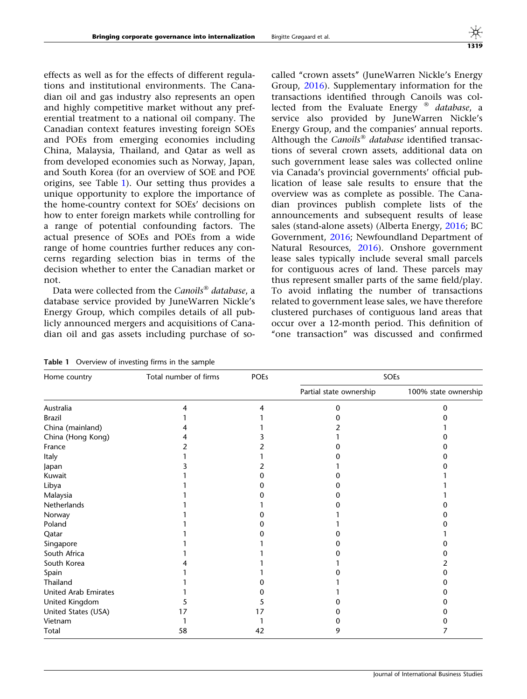effects as well as for the effects of different regulations and institutional environments. The Canadian oil and gas industry also represents an open and highly competitive market without any preferential treatment to a national oil company. The Canadian context features investing foreign SOEs and POEs from emerging economies including China, Malaysia, Thailand, and Qatar as well as from developed economies such as Norway, Japan, and South Korea (for an overview of SOE and POE origins, see Table 1). Our setting thus provides a unique opportunity to explore the importance of the home-country context for SOEs' decisions on how to enter foreign markets while controlling for a range of potential confounding factors. The actual presence of SOEs and POEs from a wide range of home countries further reduces any concerns regarding selection bias in terms of the decision whether to enter the Canadian market or not.

Data were collected from the Canoils® database, a database service provided by JuneWarren Nickle's Energy Group, which compiles details of all publicly announced mergers and acquisitions of Canadian oil and gas assets including purchase of socalled ''crown assets'' (JuneWarren Nickle's Energy Group, [2016\)](#page-26-0). Supplementary information for the transactions identified through Canoils was collected from the Evaluate Energy  $^{\circledR}$  database, a service also provided by JuneWarren Nickle's Energy Group, and the companies' annual reports. Although the Canoils® database identified transactions of several crown assets, additional data on such government lease sales was collected online via Canada's provincial governments' official publication of lease sale results to ensure that the overview was as complete as possible. The Canadian provinces publish complete lists of the announcements and subsequent results of lease sales (stand-alone assets) (Alberta Energy, [2016](#page-24-0); BC Government, [2016;](#page-24-0) Newfoundland Department of Natural Resources, [2016\)](#page-26-0). Onshore government lease sales typically include several small parcels for contiguous acres of land. These parcels may thus represent smaller parts of the same field/play. To avoid inflating the number of transactions related to government lease sales, we have therefore clustered purchases of contiguous land areas that occur over a 12-month period. This definition of "one transaction" was discussed and confirmed

Table 1 Overview of investing firms in the sample

| Home country                | Total number of firms | <b>POEs</b> |                         | SOEs                 |
|-----------------------------|-----------------------|-------------|-------------------------|----------------------|
|                             |                       |             | Partial state ownership | 100% state ownership |
| Australia                   |                       | 4           |                         |                      |
| <b>Brazil</b>               |                       |             |                         |                      |
| China (mainland)            |                       |             |                         |                      |
| China (Hong Kong)           |                       |             |                         |                      |
| France                      |                       |             |                         |                      |
| Italy                       |                       |             |                         |                      |
| Japan                       |                       |             |                         |                      |
| Kuwait                      |                       |             |                         |                      |
| Libya                       |                       |             |                         |                      |
| Malaysia                    |                       |             |                         |                      |
| Netherlands                 |                       |             |                         |                      |
| Norway                      |                       |             |                         |                      |
| Poland                      |                       |             |                         |                      |
| Qatar                       |                       |             |                         |                      |
| Singapore                   |                       |             |                         |                      |
| South Africa                |                       |             |                         |                      |
| South Korea                 |                       |             |                         |                      |
| Spain                       |                       |             |                         |                      |
| Thailand                    |                       |             |                         |                      |
| <b>United Arab Emirates</b> |                       |             |                         |                      |
| United Kingdom              |                       |             |                         |                      |
| United States (USA)         | 17                    | 17          |                         |                      |
| Vietnam                     |                       |             |                         |                      |
| Total                       | 58                    | 42          | 9                       |                      |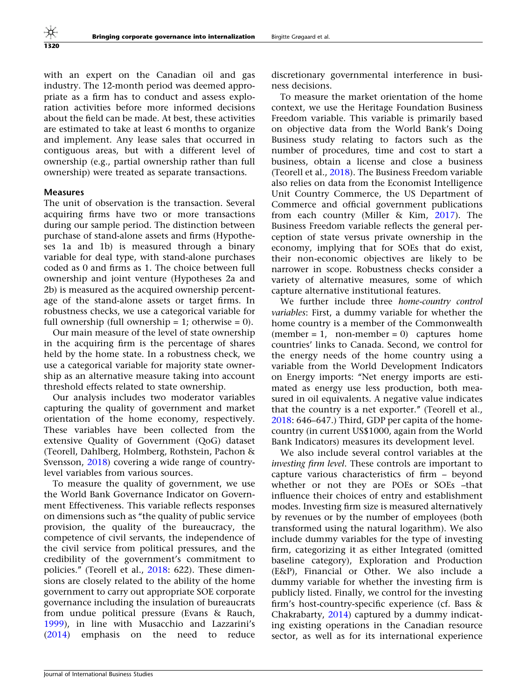with an expert on the Canadian oil and gas industry. The 12-month period was deemed appropriate as a firm has to conduct and assess exploration activities before more informed decisions about the field can be made. At best, these activities are estimated to take at least 6 months to organize and implement. Any lease sales that occurred in contiguous areas, but with a different level of ownership (e.g., partial ownership rather than full ownership) were treated as separate transactions.

#### Measures

The unit of observation is the transaction. Several acquiring firms have two or more transactions during our sample period. The distinction between purchase of stand-alone assets and firms (Hypotheses 1a and 1b) is measured through a binary variable for deal type, with stand-alone purchases coded as 0 and firms as 1. The choice between full ownership and joint venture (Hypotheses 2a and 2b) is measured as the acquired ownership percentage of the stand-alone assets or target firms. In robustness checks, we use a categorical variable for full ownership (full ownership  $= 1$ ; otherwise  $= 0$ ).

Our main measure of the level of state ownership in the acquiring firm is the percentage of shares held by the home state. In a robustness check, we use a categorical variable for majority state ownership as an alternative measure taking into account threshold effects related to state ownership.

Our analysis includes two moderator variables capturing the quality of government and market orientation of the home economy, respectively. These variables have been collected from the extensive Quality of Government (QoG) dataset (Teorell, Dahlberg, Holmberg, Rothstein, Pachon & Svensson, [2018](#page-27-0)) covering a wide range of countrylevel variables from various sources.

To measure the quality of government, we use the World Bank Governance Indicator on Government Effectiveness. This variable reflects responses on dimensions such as ''the quality of public service provision, the quality of the bureaucracy, the competence of civil servants, the independence of the civil service from political pressures, and the credibility of the government's commitment to policies.'' (Teorell et al., [2018:](#page-27-0) 622). These dimensions are closely related to the ability of the home government to carry out appropriate SOE corporate governance including the insulation of bureaucrats from undue political pressure (Evans & Rauch, [1999\)](#page-25-0), in line with Musacchio and Lazzarini's [\(2014](#page-26-0)) emphasis on the need to reduce

discretionary governmental interference in business decisions.

To measure the market orientation of the home context, we use the Heritage Foundation Business Freedom variable. This variable is primarily based on objective data from the World Bank's Doing Business study relating to factors such as the number of procedures, time and cost to start a business, obtain a license and close a business (Teorell et al., [2018\)](#page-27-0). The Business Freedom variable also relies on data from the Economist Intelligence Unit Country Commerce, the US Department of Commerce and official government publications from each country (Miller & Kim, [2017](#page-26-0)). The Business Freedom variable reflects the general perception of state versus private ownership in the economy, implying that for SOEs that do exist, their non-economic objectives are likely to be narrower in scope. Robustness checks consider a variety of alternative measures, some of which capture alternative institutional features.

We further include three home-country control variables: First, a dummy variable for whether the home country is a member of the Commonwealth  $(member = 1, non-member = 0)$  captures home countries' links to Canada. Second, we control for the energy needs of the home country using a variable from the World Development Indicators on Energy imports: ''Net energy imports are estimated as energy use less production, both measured in oil equivalents. A negative value indicates that the country is a net exporter.'' (Teorell et al., [2018:](#page-27-0) 646–647.) Third, GDP per capita of the homecountry (in current US\$1000, again from the World Bank Indicators) measures its development level.

We also include several control variables at the investing firm level. These controls are important to capture various characteristics of firm – beyond whether or not they are POEs or SOEs –that influence their choices of entry and establishment modes. Investing firm size is measured alternatively by revenues or by the number of employees (both transformed using the natural logarithm). We also include dummy variables for the type of investing firm, categorizing it as either Integrated (omitted baseline category), Exploration and Production (E&P), Financial or Other. We also include a dummy variable for whether the investing firm is publicly listed. Finally, we control for the investing firm's host-country-specific experience (cf. Bass & Chakrabarty, [2014\)](#page-24-0) captured by a dummy indicating existing operations in the Canadian resource sector, as well as for its international experience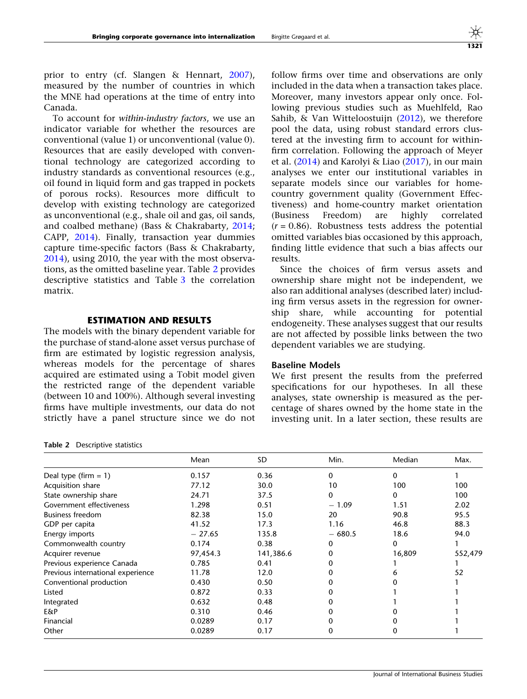prior to entry (cf. Slangen & Hennart, [2007\)](#page-26-0), measured by the number of countries in which the MNE had operations at the time of entry into Canada.

To account for within-industry factors, we use an indicator variable for whether the resources are conventional (value 1) or unconventional (value 0). Resources that are easily developed with conventional technology are categorized according to industry standards as conventional resources (e.g., oil found in liquid form and gas trapped in pockets of porous rocks). Resources more difficult to develop with existing technology are categorized as unconventional (e.g., shale oil and gas, oil sands, and coalbed methane) (Bass & Chakrabarty, [2014;](#page-24-0) CAPP, [2014](#page-25-0)). Finally, transaction year dummies capture time-specific factors (Bass & Chakrabarty, [2014\)](#page-24-0), using 2010, the year with the most observations, as the omitted baseline year. Table 2 provides descriptive statistics and Table [3](#page-12-0) the correlation matrix.

## ESTIMATION AND RESULTS

The models with the binary dependent variable for the purchase of stand-alone asset versus purchase of firm are estimated by logistic regression analysis, whereas models for the percentage of shares acquired are estimated using a Tobit model given the restricted range of the dependent variable (between 10 and 100%). Although several investing firms have multiple investments, our data do not strictly have a panel structure since we do not

Table 2 Descriptive statistics

follow firms over time and observations are only included in the data when a transaction takes place. Moreover, many investors appear only once. Following previous studies such as Muehlfeld, Rao Sahib, & Van Witteloostuijn ([2012\)](#page-26-0), we therefore pool the data, using robust standard errors clustered at the investing firm to account for withinfirm correlation. Following the approach of Meyer et al. ([2014\)](#page-26-0) and Karolyi & Liao [\(2017](#page-26-0)), in our main analyses we enter our institutional variables in separate models since our variables for homecountry government quality (Government Effectiveness) and home-country market orientation (Business Freedom) are highly correlated  $(r = 0.86)$ . Robustness tests address the potential omitted variables bias occasioned by this approach, finding little evidence that such a bias affects our results.

Since the choices of firm versus assets and ownership share might not be independent, we also ran additional analyses (described later) including firm versus assets in the regression for ownership share, while accounting for potential endogeneity. These analyses suggest that our results are not affected by possible links between the two dependent variables we are studying.

#### Baseline Models

We first present the results from the preferred specifications for our hypotheses. In all these analyses, state ownership is measured as the percentage of shares owned by the home state in the investing unit. In a later section, these results are

|                                   | Mean     | SD.       | Min.     | Median   | Max.    |
|-----------------------------------|----------|-----------|----------|----------|---------|
| Deal type (firm $= 1$ )           | 0.157    | 0.36      | 0        | $\Omega$ |         |
| Acquisition share                 | 77.12    | 30.0      | 10       | 100      | 100     |
| State ownership share             | 24.71    | 37.5      | 0        | 0        | 100     |
| Government effectiveness          | 1.298    | 0.51      | $-1.09$  | 1.51     | 2.02    |
| <b>Business freedom</b>           | 82.38    | 15.0      | 20       | 90.8     | 95.5    |
| GDP per capita                    | 41.52    | 17.3      | 1.16     | 46.8     | 88.3    |
| Energy imports                    | $-27.65$ | 135.8     | $-680.5$ | 18.6     | 94.0    |
| Commonwealth country              | 0.174    | 0.38      | 0        | 0        |         |
| Acquirer revenue                  | 97,454.3 | 141,386.6 | 0        | 16,809   | 552,479 |
| Previous experience Canada        | 0.785    | 0.41      |          |          |         |
| Previous international experience | 11.78    | 12.0      |          |          | 52      |
| Conventional production           | 0.430    | 0.50      |          |          |         |
| Listed                            | 0.872    | 0.33      |          |          |         |
| Integrated                        | 0.632    | 0.48      |          |          |         |
| E&P                               | 0.310    | 0.46      |          |          |         |
| Financial                         | 0.0289   | 0.17      |          |          |         |
| Other                             | 0.0289   | 0.17      | 0        |          |         |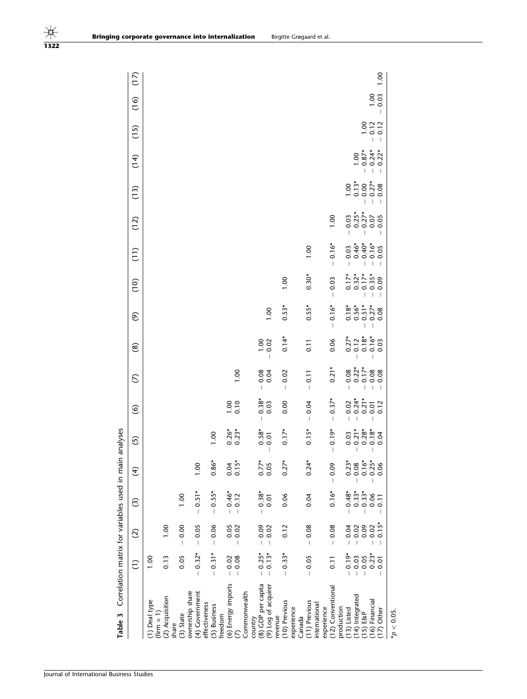<span id="page-12-0"></span>

| Table 3                                            |                                                                                                                                                                                                                                                                                                                                                                                             |                                                       | Correlation matrix for variables used in main analyses |                                                                                                                                                                                                                                                                                                                                                                                  |                                     |                                                                                                                   |                 |                            |                                     |                           |                                  |                                |                      |                           |                                       |                                                                               |      |
|----------------------------------------------------|---------------------------------------------------------------------------------------------------------------------------------------------------------------------------------------------------------------------------------------------------------------------------------------------------------------------------------------------------------------------------------------------|-------------------------------------------------------|--------------------------------------------------------|----------------------------------------------------------------------------------------------------------------------------------------------------------------------------------------------------------------------------------------------------------------------------------------------------------------------------------------------------------------------------------|-------------------------------------|-------------------------------------------------------------------------------------------------------------------|-----------------|----------------------------|-------------------------------------|---------------------------|----------------------------------|--------------------------------|----------------------|---------------------------|---------------------------------------|-------------------------------------------------------------------------------|------|
|                                                    | $\widehat{\Xi}$                                                                                                                                                                                                                                                                                                                                                                             | $\widehat{\circ}$                                     | ල                                                      | E                                                                                                                                                                                                                                                                                                                                                                                | <u>ර</u>                            | $\circledcirc$                                                                                                    | $\mathcal{E}$   | $\circledast$              | ම                                   | $\frac{1}{2}$             | (11)                             | (12)                           | (13)                 | (14)                      | (15)                                  | $\binom{6}{1}$                                                                | (17) |
| (1) Deal type                                      | 00.1                                                                                                                                                                                                                                                                                                                                                                                        |                                                       |                                                        |                                                                                                                                                                                                                                                                                                                                                                                  |                                     |                                                                                                                   |                 |                            |                                     |                           |                                  |                                |                      |                           |                                       |                                                                               |      |
| (2) Acquisition<br>$(1 - 1)$<br>share              | 0.13                                                                                                                                                                                                                                                                                                                                                                                        | 0.001                                                 |                                                        |                                                                                                                                                                                                                                                                                                                                                                                  |                                     |                                                                                                                   |                 |                            |                                     |                           |                                  |                                |                      |                           |                                       |                                                                               |      |
| $(3)$ State                                        | 0.05                                                                                                                                                                                                                                                                                                                                                                                        | 0.00<br>$\mathbf{I}$                                  | 00.1                                                   |                                                                                                                                                                                                                                                                                                                                                                                  |                                     |                                                                                                                   |                 |                            |                                     |                           |                                  |                                |                      |                           |                                       |                                                                               |      |
| ownership share<br>(4) Government<br>effectiveness | $0.32*$<br>$\overline{\phantom{a}}$                                                                                                                                                                                                                                                                                                                                                         | 0.05<br>$\mathsf I$                                   | $-0.51*$                                               | 0.001                                                                                                                                                                                                                                                                                                                                                                            |                                     |                                                                                                                   |                 |                            |                                     |                           |                                  |                                |                      |                           |                                       |                                                                               |      |
| (5) Business                                       | $0.31*$<br>$\overline{\phantom{a}}$                                                                                                                                                                                                                                                                                                                                                         | 0.06<br>$\begin{array}{c} \hline \end{array}$         | $-0.55*$                                               | $0.86*$                                                                                                                                                                                                                                                                                                                                                                          | 0.001                               |                                                                                                                   |                 |                            |                                     |                           |                                  |                                |                      |                           |                                       |                                                                               |      |
| (6) Energy imports<br>freedom<br>$\mathcal{L}$     | $-0.08$<br>$-0.02$                                                                                                                                                                                                                                                                                                                                                                          | 0.02<br>0.05<br>$\begin{array}{c} \hline \end{array}$ | $-0.46*$<br>0.12<br>$\overline{\phantom{a}}$           | $0.15*$<br>0.04                                                                                                                                                                                                                                                                                                                                                                  | $0.26*$<br>0.23*                    | $\frac{0.00}{0.10}$                                                                                               | 00.1            |                            |                                     |                           |                                  |                                |                      |                           |                                       |                                                                               |      |
| (8) GDP per capita<br>Commonwealth<br>country      | $-0.25*$                                                                                                                                                                                                                                                                                                                                                                                    | $-0.09$                                               | $0.38*$                                                | $0.77*$                                                                                                                                                                                                                                                                                                                                                                          |                                     | $0.38*$<br>$\overline{1}$                                                                                         |                 |                            |                                     |                           |                                  |                                |                      |                           |                                       |                                                                               |      |
| (9) Log of acquirer                                | $0.13*$<br>$\overline{1}$                                                                                                                                                                                                                                                                                                                                                                   | $-0.02$                                               | 0.01                                                   | 0.05                                                                                                                                                                                                                                                                                                                                                                             | $0.58*$<br>$\overline{\phantom{a}}$ | 0.03                                                                                                              | $-0.08$<br>0.04 | $\frac{0.00}{0.02}$        | 00.1                                |                           |                                  |                                |                      |                           |                                       |                                                                               |      |
| (10) Previous<br>revenue                           | $0.33*$<br>$\begin{array}{c} \rule{0pt}{2.5ex} \rule{0pt}{2.5ex} \rule{0pt}{2.5ex} \rule{0pt}{2.5ex} \rule{0pt}{2.5ex} \rule{0pt}{2.5ex} \rule{0pt}{2.5ex} \rule{0pt}{2.5ex} \rule{0pt}{2.5ex} \rule{0pt}{2.5ex} \rule{0pt}{2.5ex} \rule{0pt}{2.5ex} \rule{0pt}{2.5ex} \rule{0pt}{2.5ex} \rule{0pt}{2.5ex} \rule{0pt}{2.5ex} \rule{0pt}{2.5ex} \rule{0pt}{2.5ex} \rule{0pt}{2.5ex} \rule{0$ | 0.12                                                  | 0.06                                                   | ×<br>0.27                                                                                                                                                                                                                                                                                                                                                                        | $0.17*$                             | 0.00                                                                                                              | $-0.02$         | $0.14*$                    | $0.53*$                             | 0.00                      |                                  |                                |                      |                           |                                       |                                                                               |      |
| (11) Previous<br>experience<br>Canada              | 0.05<br>$\overline{\phantom{a}}$                                                                                                                                                                                                                                                                                                                                                            | 0.08<br>$\mathbf{I}$                                  | 0.04                                                   | ×<br>0.24                                                                                                                                                                                                                                                                                                                                                                        | $0.15*$                             | $-0.04$                                                                                                           | $-0.11$         | $\overline{0.11}$          | $0.55*$                             | $0.30*$                   | 00.1                             |                                |                      |                           |                                       |                                                                               |      |
| international                                      |                                                                                                                                                                                                                                                                                                                                                                                             |                                                       |                                                        |                                                                                                                                                                                                                                                                                                                                                                                  |                                     |                                                                                                                   |                 |                            |                                     |                           |                                  |                                |                      |                           |                                       |                                                                               |      |
| (12) Conventional<br>experience                    | $\overline{0.11}$                                                                                                                                                                                                                                                                                                                                                                           | 0.08<br>$\mathbf{I}$                                  | $0.16*$                                                | $-0.09$                                                                                                                                                                                                                                                                                                                                                                          | $-0.19*$                            | $-0.37*$                                                                                                          | $0.21*$         | 0.06                       | $0.16*$<br>$\overline{\phantom{a}}$ | 0.03<br>$\overline{1}$    | $0.16*$                          | 0.00                           |                      |                           |                                       |                                                                               |      |
| production<br>$(13)$ Listed                        | $-0.19*$                                                                                                                                                                                                                                                                                                                                                                                    | $-0.04$                                               | $0.48*$                                                | $0.23*$                                                                                                                                                                                                                                                                                                                                                                          |                                     |                                                                                                                   |                 |                            |                                     |                           | 0.03<br>$\overline{\phantom{a}}$ | $\overline{1}$                 | 00.1                 |                           |                                       |                                                                               |      |
| (14) Integrated                                    | $-0.03$                                                                                                                                                                                                                                                                                                                                                                                     | $-0.02$                                               | $-0.33*$<br>$-0.33*$                                   | $\begin{array}{c} \rule{0pt}{2.5ex} \rule{0pt}{2.5ex} \rule{0pt}{2.5ex} \rule{0pt}{2.5ex} \rule{0pt}{2.5ex} \rule{0pt}{2.5ex} \rule{0pt}{2.5ex} \rule{0pt}{2.5ex} \rule{0pt}{2.5ex} \rule{0pt}{2.5ex} \rule{0pt}{2.5ex} \rule{0pt}{2.5ex} \rule{0pt}{2.5ex} \rule{0pt}{2.5ex} \rule{0pt}{2.5ex} \rule{0pt}{2.5ex} \rule{0pt}{2.5ex} \rule{0pt}{2.5ex} \rule{0pt}{2.5ex} \rule{0$ | $\overline{1}$                      |                                                                                                                   |                 | $0.27^{*}$<br>0.12<br>0.18 | $0.18*$<br>$0.56*$<br>$0.51*$       | $0.17*$<br>0.32*<br>0.17* | $0.46*$                          | $0.03$<br>$0.25$ *<br>$0.27$ * | $0.13*$<br>- 0.00    | 0.001                     |                                       |                                                                               |      |
| (16) Financial<br>$(15)$ E&P                       | $0.23*$<br>$-0.05$                                                                                                                                                                                                                                                                                                                                                                          | 0.09<br>$-0.02$                                       | 0.06                                                   | $0.08$<br>$0.16*$<br>$0.25*$<br>Ï                                                                                                                                                                                                                                                                                                                                                | $\overline{\phantom{a}}$            | $\begin{array}{rrrr} - & 0.02 & * \\ - & 0.24 & * \\ - & 0.21 & * \\ - & 0.01 & * \\ - & 0.01 & * \\ \end{array}$ |                 | $0.16*$                    | $0.27*$<br>I                        | $0.35*$<br>Ť              | $-0.40*$<br>$-0.16*$             | 0.07<br>Ï                      | $-0.27$ *<br>$-0.08$ | $-0.24*$<br>$-0.87*$      | $\frac{0.02}{0.12}$<br>$\overline{1}$ |                                                                               |      |
| $(17)$ Other                                       | 0.01<br>$\overline{1}$                                                                                                                                                                                                                                                                                                                                                                      | $0.15*$<br>$\overline{1}$                             | 0.11<br>T                                              | 0.06                                                                                                                                                                                                                                                                                                                                                                             |                                     | 0.12                                                                                                              |                 |                            | 0.08                                | 0.09                      | 0.05<br>T                        | 0.05                           |                      | $0.22*$<br>$\overline{1}$ | I                                     | $\begin{array}{c} 0.00 \\ 0.03 \end{array}$<br>$\begin{array}{c} \end{array}$ | 00.1 |
| $^*p < 0.05$ .                                     |                                                                                                                                                                                                                                                                                                                                                                                             |                                                       |                                                        |                                                                                                                                                                                                                                                                                                                                                                                  |                                     |                                                                                                                   |                 |                            |                                     |                           |                                  |                                |                      |                           |                                       |                                                                               |      |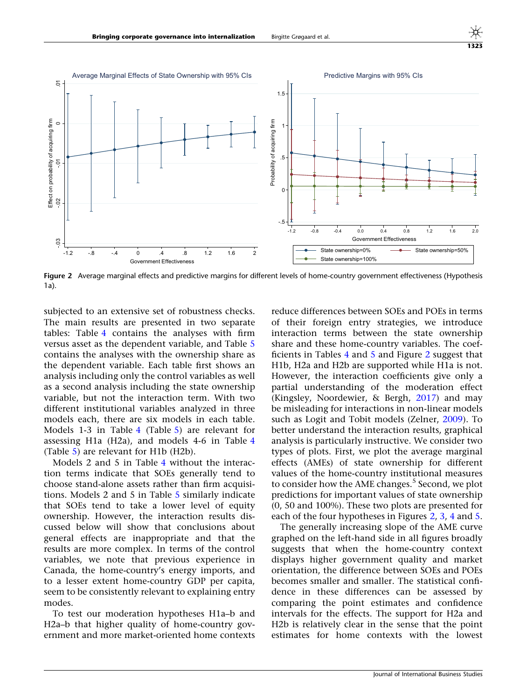<span id="page-13-0"></span>

Figure 2 Average marginal effects and predictive margins for different levels of home-country government effectiveness (Hypothesis 1a).

subjected to an extensive set of robustness checks. The main results are presented in two separate tables: Table [4](#page-16-0) contains the analyses with firm versus asset as the dependent variable, and Table [5](#page-19-0) contains the analyses with the ownership share as the dependent variable. Each table first shows an analysis including only the control variables as well as a second analysis including the state ownership variable, but not the interaction term. With two different institutional variables analyzed in three models each, there are six models in each table. Models 1-3 in Table [4](#page-16-0) (Table [5\)](#page-19-0) are relevant for assessing H1a (H2a), and models 4-6 in Table [4](#page-16-0) (Table [5](#page-19-0)) are relevant for H1b (H2b).

Models 2 and 5 in Table [4](#page-16-0) without the interaction terms indicate that SOEs generally tend to choose stand-alone assets rather than firm acquisitions. Models 2 and 5 in Table [5](#page-19-0) similarly indicate that SOEs tend to take a lower level of equity ownership. However, the interaction results discussed below will show that conclusions about general effects are inappropriate and that the results are more complex. In terms of the control variables, we note that previous experience in Canada, the home-country's energy imports, and to a lesser extent home-country GDP per capita, seem to be consistently relevant to explaining entry modes.

To test our moderation hypotheses H1a–b and H2a–b that higher quality of home-country government and more market-oriented home contexts

reduce differences between SOEs and POEs in terms of their foreign entry strategies, we introduce interaction terms between the state ownership share and these home-country variables. The coefficients in Tables [4](#page-16-0) and [5](#page-19-0) and Figure 2 suggest that H1b, H2a and H2b are supported while H1a is not. However, the interaction coefficients give only a partial understanding of the moderation effect (Kingsley, Noordewier, & Bergh, [2017](#page-26-0)) and may be misleading for interactions in non-linear models such as Logit and Tobit models (Zelner, [2009](#page-27-0)). To better understand the interaction results, graphical analysis is particularly instructive. We consider two types of plots. First, we plot the average marginal effects (AMEs) of state ownership for different values of the home-country institutional measures to consider how the AME changes.<sup>5</sup> Second, we plot predictions for important values of state ownership (0, 50 and 100%). These two plots are presented for each of the four hypotheses in Figures 2, [3,](#page-14-0) [4](#page-14-0) and [5.](#page-15-0)

The generally increasing slope of the AME curve graphed on the left-hand side in all figures broadly suggests that when the home-country context displays higher government quality and market orientation, the difference between SOEs and POEs becomes smaller and smaller. The statistical confidence in these differences can be assessed by comparing the point estimates and confidence intervals for the effects. The support for H2a and H2b is relatively clear in the sense that the point estimates for home contexts with the lowest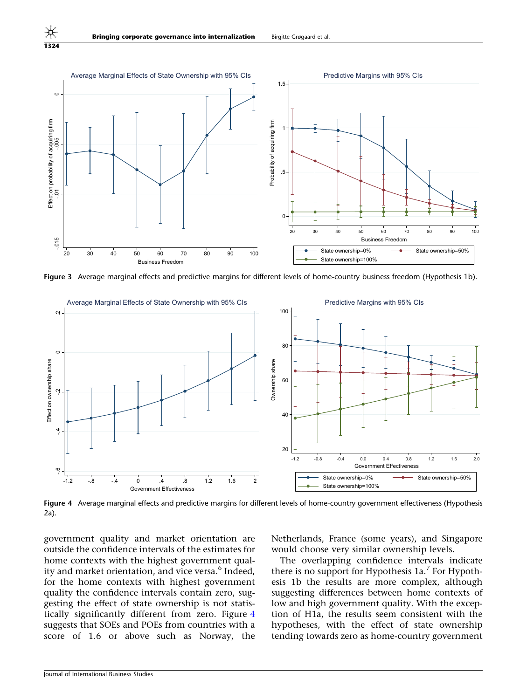

Figure 3 Average marginal effects and predictive margins for different levels of home-country business freedom (Hypothesis 1b).



Figure 4 Average marginal effects and predictive margins for different levels of home-country government effectiveness (Hypothesis 2a).

government quality and market orientation are outside the confidence intervals of the estimates for home contexts with the highest government quality and market orientation, and vice versa.<sup>6</sup> Indeed, for the home contexts with highest government quality the confidence intervals contain zero, suggesting the effect of state ownership is not statistically significantly different from zero. Figure 4 suggests that SOEs and POEs from countries with a score of 1.6 or above such as Norway, the

Netherlands, France (some years), and Singapore would choose very similar ownership levels.

The overlapping confidence intervals indicate there is no support for Hypothesis  $1a<sup>7</sup>$  For Hypothesis 1b the results are more complex, although suggesting differences between home contexts of low and high government quality. With the exception of H1a, the results seem consistent with the hypotheses, with the effect of state ownership tending towards zero as home-country government

<span id="page-14-0"></span>1324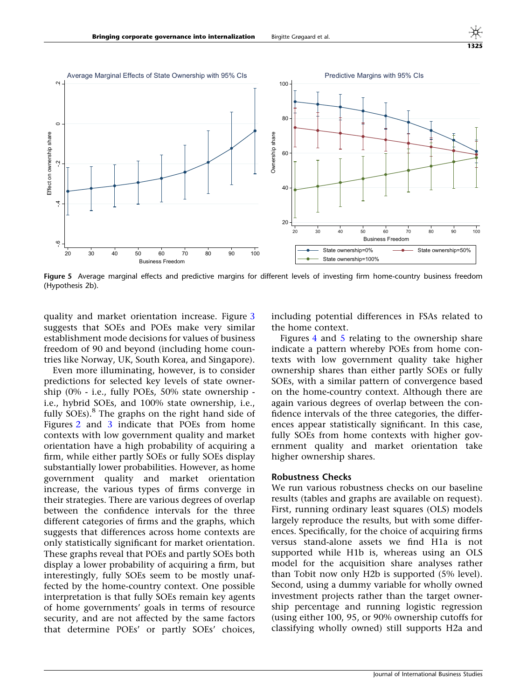<span id="page-15-0"></span>

Figure 5 Average marginal effects and predictive margins for different levels of investing firm home-country business freedom (Hypothesis 2b).

quality and market orientation increase. Figure [3](#page-14-0) suggests that SOEs and POEs make very similar establishment mode decisions for values of business freedom of 90 and beyond (including home countries like Norway, UK, South Korea, and Singapore).

Even more illuminating, however, is to consider predictions for selected key levels of state ownership (0% - i.e., fully POEs, 50% state ownership i.e., hybrid SOEs, and 100% state ownership, i.e., fully SOEs). $8$  The graphs on the right hand side of Figures [2](#page-13-0) and [3](#page-14-0) indicate that POEs from home contexts with low government quality and market orientation have a high probability of acquiring a firm, while either partly SOEs or fully SOEs display substantially lower probabilities. However, as home government quality and market orientation increase, the various types of firms converge in their strategies. There are various degrees of overlap between the confidence intervals for the three different categories of firms and the graphs, which suggests that differences across home contexts are only statistically significant for market orientation. These graphs reveal that POEs and partly SOEs both display a lower probability of acquiring a firm, but interestingly, fully SOEs seem to be mostly unaffected by the home-country context. One possible interpretation is that fully SOEs remain key agents of home governments' goals in terms of resource security, and are not affected by the same factors that determine POEs' or partly SOEs' choices,

including potential differences in FSAs related to the home context.

Figures [4](#page-14-0) and 5 relating to the ownership share indicate a pattern whereby POEs from home contexts with low government quality take higher ownership shares than either partly SOEs or fully SOEs, with a similar pattern of convergence based on the home-country context. Although there are again various degrees of overlap between the confidence intervals of the three categories, the differences appear statistically significant. In this case, fully SOEs from home contexts with higher government quality and market orientation take higher ownership shares.

#### Robustness Checks

We run various robustness checks on our baseline results (tables and graphs are available on request). First, running ordinary least squares (OLS) models largely reproduce the results, but with some differences. Specifically, for the choice of acquiring firms versus stand-alone assets we find H1a is not supported while H1b is, whereas using an OLS model for the acquisition share analyses rather than Tobit now only H2b is supported (5% level). Second, using a dummy variable for wholly owned investment projects rather than the target ownership percentage and running logistic regression (using either 100, 95, or 90% ownership cutoffs for classifying wholly owned) still supports H2a and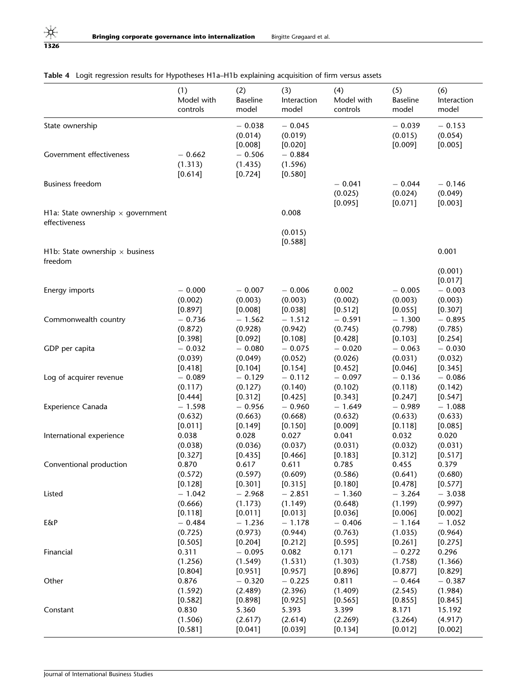|                                                           | (1)                            | (2)                              | (3)                            | (4)                            | (5)                            | (6)                            |
|-----------------------------------------------------------|--------------------------------|----------------------------------|--------------------------------|--------------------------------|--------------------------------|--------------------------------|
|                                                           | Model with                     | <b>Baseline</b>                  | Interaction                    | Model with                     | <b>Baseline</b>                | Interaction                    |
|                                                           | controls                       | model                            | model                          | controls                       | model                          | model                          |
| State ownership                                           |                                | $-0.038$<br>(0.014)<br>[0.008]   | $-0.045$<br>(0.019)<br>[0.020] |                                | $-0.039$<br>(0.015)<br>[0.009] | $-0.153$<br>(0.054)<br>[0.005] |
| Government effectiveness                                  | $-0.662$<br>(1.313)<br>[0.614] | $-0.506$<br>(1.435)<br>$[0.724]$ | $-0.884$<br>(1.596)<br>[0.580] |                                |                                |                                |
| <b>Business freedom</b>                                   |                                |                                  |                                | $-0.041$<br>(0.025)<br>[0.095] | $-0.044$<br>(0.024)<br>[0.071] | $-0.146$<br>(0.049)<br>[0.003] |
| H1a: State ownership $\times$ government<br>effectiveness |                                |                                  | 0.008                          |                                |                                |                                |
|                                                           |                                |                                  | (0.015)<br>[0.588]             |                                |                                | 0.001                          |
| H1b: State ownership $\times$ business<br>freedom         |                                |                                  |                                |                                |                                | (0.001)                        |
| Energy imports                                            | $-0.000$                       | $-0.007$                         | $-0.006$                       | 0.002                          | $-0.005$                       | [0.017]<br>$-0.003$            |
|                                                           | (0.002)                        | (0.003)                          | (0.003)                        | (0.002)                        | (0.003)                        | (0.003)                        |
|                                                           | [0.897]                        | [0.008]                          | [0.038]                        | [0.512]                        | [0.055]                        | [0.307]                        |
| Commonwealth country                                      | $-0.736$                       | $-1.562$                         | $-1.512$                       | $-0.591$                       | $-1.300$                       | $-0.895$                       |
|                                                           | (0.872)                        | (0.928)                          | (0.942)                        | (0.745)                        | (0.798)                        | (0.785)                        |
|                                                           | $[0.398]$                      | $[0.092]$                        | [0.108]                        | [0.428]                        | [0.103]                        | $[0.254]$                      |
| GDP per capita                                            | $-0.032$                       | $-0.080$                         | $-0.075$                       | $-0.020$                       | $-0.063$                       | $-0.030$                       |
|                                                           | (0.039)                        | (0.049)                          | (0.052)                        | (0.026)                        | (0.031)                        | (0.032)                        |
|                                                           | [0.418]                        | [0.104]                          | [0.154]                        | [0.452]                        | [0.046]                        | [0.345]                        |
| Log of acquirer revenue                                   | $-0.089$                       | $-0.129$                         | $-0.112$                       | $-0.097$                       | $-0.136$                       | $-0.086$                       |
|                                                           | (0.117)                        | (0.127)                          | (0.140)                        | (0.102)                        | (0.118)                        | (0.142)                        |
|                                                           | [0.444]                        | [0.312]                          | [0.425]                        | [0.343]                        | $[0.247]$                      | [0.547]                        |
| Experience Canada                                         | $-1.598$                       | $-0.956$                         | $-0.960$                       | $-1.649$                       | $-0.989$                       | $-1.088$                       |
|                                                           | (0.632)                        | (0.663)                          | (0.668)                        | (0.632)                        | (0.633)                        | (0.633)                        |
|                                                           | [0.011]                        | $[0.149]$                        | [0.150]                        | [0.009]                        | [0.118]                        | [0.085]                        |
| International experience                                  | 0.038                          | 0.028                            | 0.027                          | 0.041                          | 0.032                          | 0.020                          |
|                                                           | (0.038)                        | (0.036)                          | (0.037)                        | (0.031)                        | (0.032)                        | (0.031)                        |
|                                                           | [0.327]                        | $[0.435]$                        | [0.466]                        | [0.183]                        | [0.312]                        | [0.517]                        |
| Conventional production                                   | 0.870                          | 0.617                            | 0.611                          | 0.785                          | 0.455                          | 0.379                          |
|                                                           | (0.572)                        | (0.597)                          | (0.609)                        | (0.586)                        | (0.641)                        | (0.680)                        |
|                                                           | [0.128]                        | [0.301]                          | [0.315]                        | [0.180]                        | $[0.478]$                      | $[0.577]$                      |
| Listed                                                    | $-1.042$                       | $-2.968$                         | $-2.851$                       | $-1.360$                       | $-3.264$                       | $-3.038$                       |
|                                                           | (0.666)                        | (1.173)                          | (1.149)                        | (0.648)                        | (1.199)                        | (0.997)                        |
| E&P                                                       | $[0.118]$                      | $[0.011]$                        | [0.013]                        | $[0.036]$                      | $[0.006]$                      | $[0.002]$                      |
|                                                           | $-0.484$                       | $-1.236$                         | $-1.178$                       | $-0.406$                       | $-1.164$                       | $-1.052$                       |
|                                                           | (0.725)                        | (0.973)                          | (0.944)                        | (0.763)                        | (1.035)                        | (0.964)                        |
| Financial                                                 | [0.505]                        | [0.204]                          | [0.212]                        | [0.595]                        | [0.261]                        | [0.275]                        |
|                                                           | 0.311                          | $-0.095$                         | 0.082                          | 0.171                          | $-0.272$                       | 0.296                          |
|                                                           | (1.256)                        | (1.549)                          | (1.531)                        | (1.303)                        | (1.758)                        | (1.366)                        |
| Other                                                     | [0.804]                        | [0.951]                          | [0.957]                        | [0.896]                        | $[0.877]$                      | $[0.829]$                      |
|                                                           | 0.876                          | $-0.320$                         | $-0.225$                       | 0.811                          | $-0.464$                       | $-0.387$                       |
|                                                           | (1.592)                        | (2.489)                          | (2.396)                        | (1.409)                        | (2.545)                        | (1.984)                        |
| Constant                                                  | [0.582]                        | [0.898]                          | [0.925]                        | [0.565]                        | [0.855]                        | [0.845]                        |
|                                                           | 0.830                          | 5.360                            | 5.393                          | 3.399                          | 8.171                          | 15.192                         |
|                                                           | (1.506)                        | (2.617)                          | (2.614)                        | (2.269)                        | (3.264)                        | (4.917)                        |

 $[0.581]$   $[0.041]$   $[0.039]$   $[0.134]$   $[0.012]$   $[0.002]$ 

## <span id="page-16-0"></span>Table 4 Logit regression results for Hypotheses H1a–H1b explaining acquisition of firm versus assets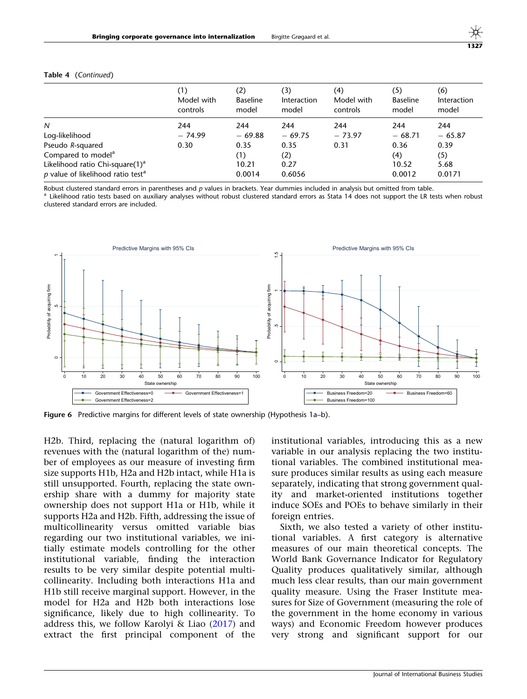| Ξ | ۰.<br>- 3 |
|---|-----------|
|   |           |

|                                                 | (1)<br>Model with<br>controls | (2)<br><b>Baseline</b><br>model | (3)<br><b>Interaction</b><br>model | (4)<br>Model with<br>controls | (5)<br><b>Baseline</b><br>model | (6)<br>Interaction<br>model |
|-------------------------------------------------|-------------------------------|---------------------------------|------------------------------------|-------------------------------|---------------------------------|-----------------------------|
| N                                               | 244                           | 244                             | 244                                | 244                           | 244                             | 244                         |
| Log-likelihood                                  | $-74.99$                      | $-69.88$                        | $-69.75$                           | $-73.97$                      | $-68.71$                        | $-65.87$                    |
| Pseudo R-squared                                | 0.30                          | 0.35                            | 0.35                               | 0.31                          | 0.36                            | 0.39                        |
| Compared to model <sup>a</sup>                  |                               | (1)                             | (2)                                |                               | (4)                             | (5)                         |
| Likelihood ratio Chi-square(1) <sup>a</sup>     |                               | 10.21                           | 0.27                               |                               | 10.52                           | 5.68                        |
| $p$ value of likelihood ratio test <sup>a</sup> |                               | 0.0014                          | 0.6056                             |                               | 0.0012                          | 0.0171                      |

#### <span id="page-17-0"></span>Table 4 (Continued)

Robust clustered standard errors in parentheses and p values in brackets. Year dummies included in analysis but omitted from table.<br><sup>a</sup> Likelihood ratio tests based on auxiliary analyses without robust clustered standard e

clustered standard errors are included.



Figure 6 Predictive margins for different levels of state ownership (Hypothesis 1a-b).

H2b. Third, replacing the (natural logarithm of) revenues with the (natural logarithm of the) number of employees as our measure of investing firm size supports H1b, H2a and H2b intact, while H1a is still unsupported. Fourth, replacing the state ownership share with a dummy for majority state ownership does not support H1a or H1b, while it supports H2a and H2b. Fifth, addressing the issue of multicollinearity versus omitted variable bias regarding our two institutional variables, we initially estimate models controlling for the other institutional variable, finding the interaction results to be very similar despite potential multicollinearity. Including both interactions H1a and H1b still receive marginal support. However, in the model for H2a and H2b both interactions lose significance, likely due to high collinearity. To address this, we follow Karolyi & Liao [\(2017](#page-26-0)) and extract the first principal component of the

institutional variables, introducing this as a new variable in our analysis replacing the two institutional variables. The combined institutional measure produces similar results as using each measure separately, indicating that strong government quality and market-oriented institutions together induce SOEs and POEs to behave similarly in their foreign entries.

Sixth, we also tested a variety of other institutional variables. A first category is alternative measures of our main theoretical concepts. The World Bank Governance Indicator for Regulatory Quality produces qualitatively similar, although much less clear results, than our main government quality measure. Using the Fraser Institute measures for Size of Government (measuring the role of the government in the home economy in various ways) and Economic Freedom however produces very strong and significant support for our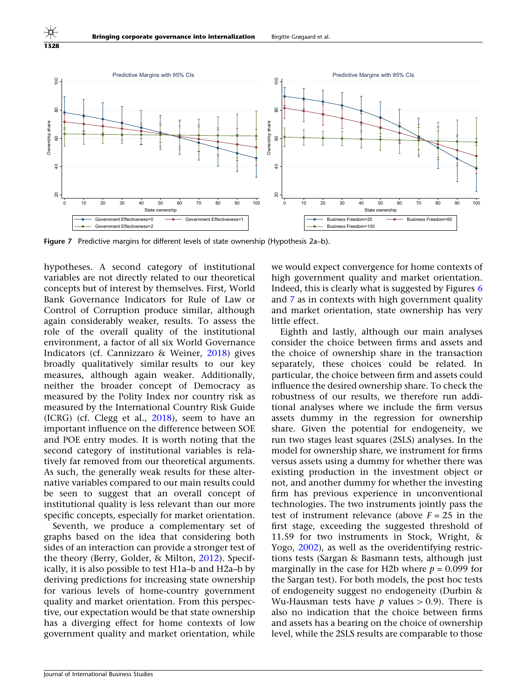1328



Figure 7 Predictive margins for different levels of state ownership (Hypothesis 2a–b).

hypotheses. A second category of institutional variables are not directly related to our theoretical concepts but of interest by themselves. First, World Bank Governance Indicators for Rule of Law or Control of Corruption produce similar, although again considerably weaker, results. To assess the role of the overall quality of the institutional environment, a factor of all six World Governance Indicators (cf. Cannizzaro & Weiner, [2018\)](#page-25-0) gives broadly qualitatively similar results to our key measures, although again weaker. Additionally, neither the broader concept of Democracy as measured by the Polity Index nor country risk as measured by the International Country Risk Guide (ICRG) (cf. Clegg et al., [2018](#page-25-0)), seem to have an important influence on the difference between SOE and POE entry modes. It is worth noting that the second category of institutional variables is relatively far removed from our theoretical arguments. As such, the generally weak results for these alternative variables compared to our main results could be seen to suggest that an overall concept of institutional quality is less relevant than our more specific concepts, especially for market orientation.

Seventh, we produce a complementary set of graphs based on the idea that considering both sides of an interaction can provide a stronger test of the theory (Berry, Golder, & Milton, [2012\)](#page-24-0). Specifically, it is also possible to test H1a–b and H2a–b by deriving predictions for increasing state ownership for various levels of home-country government quality and market orientation. From this perspective, our expectation would be that state ownership has a diverging effect for home contexts of low government quality and market orientation, while

we would expect convergence for home contexts of high government quality and market orientation. Indeed, this is clearly what is suggested by Figures [6](#page-17-0) and 7 as in contexts with high government quality and market orientation, state ownership has very little effect.

Eighth and lastly, although our main analyses consider the choice between firms and assets and the choice of ownership share in the transaction separately, these choices could be related. In particular, the choice between firm and assets could influence the desired ownership share. To check the robustness of our results, we therefore run additional analyses where we include the firm versus assets dummy in the regression for ownership share. Given the potential for endogeneity, we run two stages least squares (2SLS) analyses. In the model for ownership share, we instrument for firms versus assets using a dummy for whether there was existing production in the investment object or not, and another dummy for whether the investing firm has previous experience in unconventional technologies. The two instruments jointly pass the test of instrument relevance (above  $F = 25$  in the first stage, exceeding the suggested threshold of 11.59 for two instruments in Stock, Wright, & Yogo, [2002](#page-26-0)), as well as the overidentifying restrictions tests (Sargan & Basmann tests, although just marginally in the case for H2b where  $p = 0.099$  for the Sargan test). For both models, the post hoc tests of endogeneity suggest no endogeneity (Durbin & Wu-Hausman tests have  $p$  values  $> 0.9$ ). There is also no indication that the choice between firms and assets has a bearing on the choice of ownership level, while the 2SLS results are comparable to those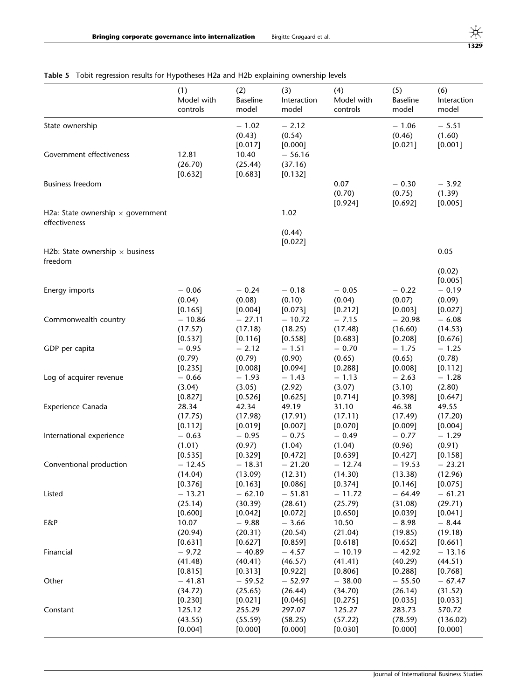## <span id="page-19-0"></span>Table 5 Tobit regression results for Hypotheses H2a and H2b explaining ownership levels

|                                                           | (1)               | (2)                                              | (3)                                                 | (4)                       | (5)                          | (6)                                    |
|-----------------------------------------------------------|-------------------|--------------------------------------------------|-----------------------------------------------------|---------------------------|------------------------------|----------------------------------------|
|                                                           | Model with        | <b>Baseline</b>                                  | Interaction                                         | Model with                | <b>Baseline</b>              | Interaction                            |
|                                                           | controls          | model                                            | model                                               | controls                  | model                        | model                                  |
| State ownership<br>Government effectiveness               | 12.81<br>(26.70)  | $-1.02$<br>(0.43)<br>[0.017]<br>10.40<br>(25.44) | $-2.12$<br>(0.54)<br>[0.000]<br>$-56.16$<br>(37.16) |                           | $-1.06$<br>(0.46)<br>[0.021] | $-5.51$<br>(1.60)<br>[0.001]           |
| <b>Business freedom</b>                                   | [0.632]           | [0.683]                                          | [0.132]                                             | 0.07<br>(0.70)<br>[0.924] | $-0.30$<br>(0.75)<br>[0.692] | $-3.92$<br>(1.39)<br>[0.005]           |
| H2a: State ownership $\times$ government<br>effectiveness |                   |                                                  | 1.02<br>(0.44)                                      |                           |                              |                                        |
| H2b: State ownership $\times$ business<br>freedom         |                   |                                                  | [0.022]                                             |                           |                              | 0.05                                   |
| Energy imports                                            | $-0.06$<br>(0.04) | $-0.24$<br>(0.08)                                | $-0.18$<br>(0.10)                                   | $-0.05$<br>(0.04)         | $-0.22$<br>(0.07)            | (0.02)<br>[0.005]<br>$-0.19$<br>(0.09) |
| Commonwealth country                                      | [0.165]           | [0.004]                                          | [0.073]                                             | [0.212]                   | [0.003]                      | [0.027]                                |
|                                                           | $-10.86$          | $-27.11$                                         | $-10.72$                                            | $-7.15$                   | $-20.98$                     | $-6.08$                                |
|                                                           | (17.57)           | (17.18)                                          | (18.25)                                             | (17.48)                   | (16.60)                      | (14.53)                                |
|                                                           | [0.537]           | [0.116]                                          | [0.558]                                             | [0.683]                   | [0.208]                      | [0.676]                                |
| GDP per capita                                            | $-0.95$           | $-2.12$                                          | $-1.51$                                             | $-0.70$                   | $-1.75$                      | $-1.25$                                |
|                                                           | (0.79)            | (0.79)                                           | (0.90)                                              | (0.65)                    | (0.65)                       | (0.78)                                 |
|                                                           | [0.235]           | [0.008]                                          | [0.094]                                             | [0.288]                   | [0.008]                      | [0.112]                                |
| Log of acquirer revenue                                   | $-0.66$           | $-1.93$                                          | $-1.43$                                             | $-1.13$                   | $-2.63$                      | $-1.28$                                |
|                                                           | (3.04)            | (3.05)                                           | (2.92)                                              | (3.07)                    | (3.10)                       | (2.80)                                 |
|                                                           | [0.827]           | [0.526]                                          | [0.625]                                             | [0.714]                   | [0.398]                      | [0.647]                                |
| Experience Canada                                         | 28.34             | 42.34                                            | 49.19                                               | 31.10                     | 46.38                        | 49.55                                  |
|                                                           | (17.75)           | (17.98)                                          | (17.91)                                             | (17.11)                   | (17.49)                      | (17.20)                                |
|                                                           | [0.112]           | [0.019]                                          | [0.007]                                             | [0.070]                   | [0.009]                      | [0.004]                                |
| International experience                                  | $-0.63$           | $-0.95$                                          | $-0.75$                                             | $-0.49$                   | $-0.77$                      | $-1.29$                                |
|                                                           | (1.01)            | (0.97)                                           | (1.04)                                              | (1.04)                    | (0.96)                       | (0.91)                                 |
|                                                           | $[0.535]$         | [0.329]                                          | $[0.472]$                                           | [0.639]                   | $[0.427]$                    | [0.158]                                |
| Conventional production                                   | $-12.45$          | $-18.31$                                         | $-21.20$                                            | $-12.74$                  | $-19.53$                     | $-23.21$                               |
|                                                           | (14.04)           | (13.09)                                          | (12.31)                                             | (14.30)                   | (13.38)                      | (12.96)                                |
|                                                           | [0.376]           | [0.163]                                          | [0.086]                                             | [0.374]                   | [0.146]                      | [0.075]                                |
| Listed                                                    | $-13.21$          | $-62.10$                                         | $-51.81$                                            | $-11.72$                  | $-64.49$                     | $-61.21$                               |
|                                                           | (25.14)           | (30.39)                                          | (28.61)                                             | (25.79)                   | (31.08)                      | (29.71)                                |
|                                                           | [0.600]           | [0.042]                                          | $[0.072]$                                           | [0.650]                   | $[0.039]$                    | $[0.041]$                              |
| E&P                                                       | 10.07             | $-9.88$                                          | $-3.66$                                             | 10.50                     | $-8.98$                      | $-8.44$                                |
|                                                           | (20.94)           | (20.31)                                          | (20.54)                                             | (21.04)                   | (19.85)                      | (19.18)                                |
|                                                           | [0.631]           | [0.627]                                          | [0.859]                                             | [0.618]                   | [0.652]                      | [0.661]                                |
| Financial                                                 | $-9.72$           | $-40.89$                                         | $-4.57$                                             | $-10.19$                  | $-42.92$                     | $-13.16$                               |
|                                                           | (41.48)           | (40.41)                                          | (46.57)                                             | (41.41)                   | (40.29)                      | (44.51)                                |
|                                                           | [0.815]           | $[0.313]$                                        | $[0.922]$                                           | $[0.806]$                 | [0.288]                      | $[0.768]$                              |
| Other                                                     | $-41.81$          | $-59.52$                                         | $-52.97$                                            | $-38.00$                  | $-55.50$                     | $-67.47$                               |
|                                                           | (34.72)           | (25.65)                                          | (26.44)                                             | (34.70)                   | (26.14)                      | (31.52)                                |
|                                                           | [0.230]           | [0.021]                                          | [0.046]                                             | [0.275]                   | [0.035]                      | [0.033]                                |
| Constant                                                  | 125.12            | 255.29                                           | 297.07                                              | 125.27                    | 283.73                       | 570.72                                 |
|                                                           | (43.55)           | (55.59)                                          | (58.25)                                             | (57.22)                   | (78.59)                      | (136.02)                               |
|                                                           | [0.004]           | [0.000]                                          | [0.000]                                             | $[0.030]$                 | $[0.000]$                    | [0.000]                                |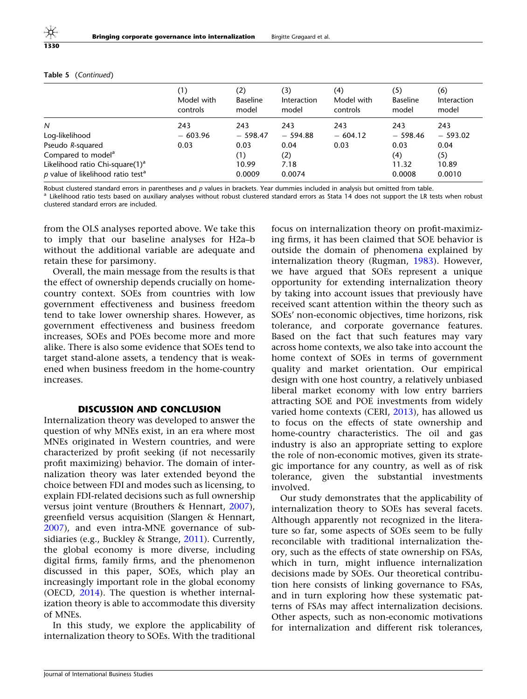|                                               | (1)<br>Model with<br>controls | (2)<br><b>Baseline</b><br>model | (3)<br><b>Interaction</b><br>model | (4)<br>Model with<br>controls | (5)<br><b>Baseline</b><br>model | (6)<br>Interaction<br>model |
|-----------------------------------------------|-------------------------------|---------------------------------|------------------------------------|-------------------------------|---------------------------------|-----------------------------|
| N                                             | 243                           | 243                             | 243                                | 243                           | 243                             | 243                         |
| Log-likelihood                                | $-603.96$                     | $-598.47$                       | $-594.88$                          | $-604.12$                     | $-598.46$                       | $-593.02$                   |
| Pseudo R-squared                              | 0.03                          | 0.03                            | 0.04                               | 0.03                          | 0.03                            | 0.04                        |
| Compared to model <sup>a</sup>                |                               | (1)                             | (2)                                |                               | (4)                             | (5)                         |
| Likelihood ratio Chi-square(1) <sup>a</sup>   |                               | 10.99                           | 7.18                               |                               | 11.32                           | 10.89                       |
| p value of likelihood ratio test <sup>a</sup> |                               | 0.0009                          | 0.0074                             |                               | 0.0008                          | 0.0010                      |

#### Table 5 (Continued)

Robust clustered standard errors in parentheses and p values in brackets. Year dummies included in analysis but omitted from table.<br><sup>a</sup> Likelihood ratio tests based on auxiliary analyses without robust clustered standard e clustered standard errors are included.

from the OLS analyses reported above. We take this to imply that our baseline analyses for H2a–b without the additional variable are adequate and retain these for parsimony.

Overall, the main message from the results is that the effect of ownership depends crucially on homecountry context. SOEs from countries with low government effectiveness and business freedom tend to take lower ownership shares. However, as government effectiveness and business freedom increases, SOEs and POEs become more and more alike. There is also some evidence that SOEs tend to target stand-alone assets, a tendency that is weakened when business freedom in the home-country increases.

#### DISCUSSION AND CONCLUSION

Internalization theory was developed to answer the question of why MNEs exist, in an era where most MNEs originated in Western countries, and were characterized by profit seeking (if not necessarily profit maximizing) behavior. The domain of internalization theory was later extended beyond the choice between FDI and modes such as licensing, to explain FDI-related decisions such as full ownership versus joint venture (Brouthers & Hennart, [2007\)](#page-24-0), greenfield versus acquisition (Slangen & Hennart, [2007\)](#page-26-0), and even intra-MNE governance of subsidiaries (e.g., Buckley & Strange, [2011\)](#page-25-0). Currently, the global economy is more diverse, including digital firms, family firms, and the phenomenon discussed in this paper, SOEs, which play an increasingly important role in the global economy (OECD, [2014\)](#page-26-0). The question is whether internalization theory is able to accommodate this diversity of MNEs.

In this study, we explore the applicability of internalization theory to SOEs. With the traditional focus on internalization theory on profit-maximizing firms, it has been claimed that SOE behavior is outside the domain of phenomena explained by internalization theory (Rugman, [1983](#page-26-0)). However, we have argued that SOEs represent a unique opportunity for extending internalization theory by taking into account issues that previously have received scant attention within the theory such as SOEs' non-economic objectives, time horizons, risk tolerance, and corporate governance features. Based on the fact that such features may vary across home contexts, we also take into account the home context of SOEs in terms of government quality and market orientation. Our empirical design with one host country, a relatively unbiased liberal market economy with low entry barriers attracting SOE and POE investments from widely varied home contexts (CERI, [2013](#page-25-0)), has allowed us to focus on the effects of state ownership and home-country characteristics. The oil and gas industry is also an appropriate setting to explore the role of non-economic motives, given its strategic importance for any country, as well as of risk tolerance, given the substantial investments involved.

Our study demonstrates that the applicability of internalization theory to SOEs has several facets. Although apparently not recognized in the literature so far, some aspects of SOEs seem to be fully reconcilable with traditional internalization theory, such as the effects of state ownership on FSAs, which in turn, might influence internalization decisions made by SOEs. Our theoretical contribution here consists of linking governance to FSAs, and in turn exploring how these systematic patterns of FSAs may affect internalization decisions. Other aspects, such as non-economic motivations for internalization and different risk tolerances,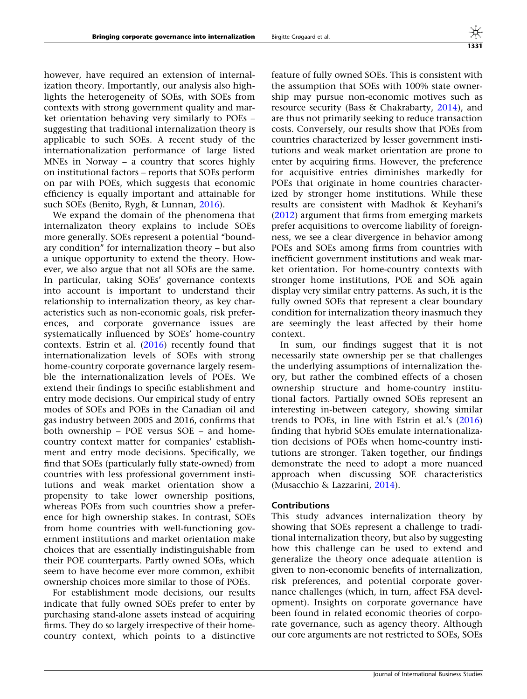however, have required an extension of internalization theory. Importantly, our analysis also highlights the heterogeneity of SOEs, with SOEs from contexts with strong government quality and market orientation behaving very similarly to POEs – suggesting that traditional internalization theory is applicable to such SOEs. A recent study of the internationalization performance of large listed MNEs in Norway – a country that scores highly on institutional factors – reports that SOEs perform on par with POEs, which suggests that economic efficiency is equally important and attainable for such SOEs (Benito, Rygh, & Lunnan, [2016](#page-24-0)).

We expand the domain of the phenomena that internalizaton theory explains to include SOEs more generally. SOEs represent a potential ''boundary condition'' for internalization theory – but also a unique opportunity to extend the theory. However, we also argue that not all SOEs are the same. In particular, taking SOEs' governance contexts into account is important to understand their relationship to internalization theory, as key characteristics such as non-economic goals, risk preferences, and corporate governance issues are systematically influenced by SOEs' home-country contexts. Estrin et al.  $(2016)$  $(2016)$  recently found that internationalization levels of SOEs with strong home-country corporate governance largely resemble the internationalization levels of POEs. We extend their findings to specific establishment and entry mode decisions. Our empirical study of entry modes of SOEs and POEs in the Canadian oil and gas industry between 2005 and 2016, confirms that both ownership – POE versus SOE – and homecountry context matter for companies' establishment and entry mode decisions. Specifically, we find that SOEs (particularly fully state-owned) from countries with less professional government institutions and weak market orientation show a propensity to take lower ownership positions, whereas POEs from such countries show a preference for high ownership stakes. In contrast, SOEs from home countries with well-functioning government institutions and market orientation make choices that are essentially indistinguishable from their POE counterparts. Partly owned SOEs, which seem to have become ever more common, exhibit ownership choices more similar to those of POEs.

For establishment mode decisions, our results indicate that fully owned SOEs prefer to enter by purchasing stand-alone assets instead of acquiring firms. They do so largely irrespective of their homecountry context, which points to a distinctive

feature of fully owned SOEs. This is consistent with the assumption that SOEs with 100% state ownership may pursue non-economic motives such as resource security (Bass & Chakrabarty, [2014](#page-24-0)), and are thus not primarily seeking to reduce transaction costs. Conversely, our results show that POEs from countries characterized by lesser government institutions and weak market orientation are prone to enter by acquiring firms. However, the preference for acquisitive entries diminishes markedly for POEs that originate in home countries characterized by stronger home institutions. While these results are consistent with Madhok & Keyhani's [\(2012](#page-26-0)) argument that firms from emerging markets prefer acquisitions to overcome liability of foreignness, we see a clear divergence in behavior among POEs and SOEs among firms from countries with inefficient government institutions and weak market orientation. For home-country contexts with stronger home institutions, POE and SOE again display very similar entry patterns. As such, it is the fully owned SOEs that represent a clear boundary condition for internalization theory inasmuch they are seemingly the least affected by their home context.

In sum, our findings suggest that it is not necessarily state ownership per se that challenges the underlying assumptions of internalization theory, but rather the combined effects of a chosen ownership structure and home-country institutional factors. Partially owned SOEs represent an interesting in-between category, showing similar trends to POEs, in line with Estrin et al.'s [\(2016](#page-25-0)) finding that hybrid SOEs emulate internationalization decisions of POEs when home-country institutions are stronger. Taken together, our findings demonstrate the need to adopt a more nuanced approach when discussing SOE characteristics (Musacchio & Lazzarini, [2014](#page-26-0)).

#### Contributions

This study advances internalization theory by showing that SOEs represent a challenge to traditional internalization theory, but also by suggesting how this challenge can be used to extend and generalize the theory once adequate attention is given to non-economic benefits of internalization, risk preferences, and potential corporate governance challenges (which, in turn, affect FSA development). Insights on corporate governance have been found in related economic theories of corporate governance, such as agency theory. Although our core arguments are not restricted to SOEs, SOEs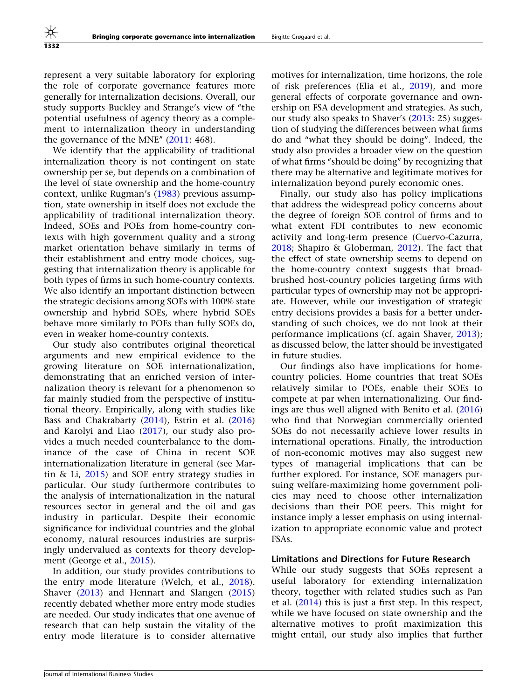represent a very suitable laboratory for exploring the role of corporate governance features more generally for internalization decisions. Overall, our study supports Buckley and Strange's view of ''the potential usefulness of agency theory as a complement to internalization theory in understanding the governance of the MNE" [\(2011:](#page-25-0) 468).

We identify that the applicability of traditional internalization theory is not contingent on state ownership per se, but depends on a combination of the level of state ownership and the home-country context, unlike Rugman's [\(1983](#page-26-0)) previous assumption, state ownership in itself does not exclude the applicability of traditional internalization theory. Indeed, SOEs and POEs from home-country contexts with high government quality and a strong market orientation behave similarly in terms of their establishment and entry mode choices, suggesting that internalization theory is applicable for both types of firms in such home-country contexts. We also identify an important distinction between the strategic decisions among SOEs with 100% state ownership and hybrid SOEs, where hybrid SOEs behave more similarly to POEs than fully SOEs do, even in weaker home-country contexts.

Our study also contributes original theoretical arguments and new empirical evidence to the growing literature on SOE internationalization, demonstrating that an enriched version of internalization theory is relevant for a phenomenon so far mainly studied from the perspective of institutional theory. Empirically, along with studies like Bass and Chakrabarty [\(2014](#page-24-0)), Estrin et al. ([2016\)](#page-25-0) and Karolyi and Liao [\(2017\)](#page-26-0), our study also provides a much needed counterbalance to the dominance of the case of China in recent SOE internationalization literature in general (see Martin & Li, [2015\)](#page-26-0) and SOE entry strategy studies in particular. Our study furthermore contributes to the analysis of internationalization in the natural resources sector in general and the oil and gas industry in particular. Despite their economic significance for individual countries and the global economy, natural resources industries are surprisingly undervalued as contexts for theory development (George et al., [2015\)](#page-25-0).

In addition, our study provides contributions to the entry mode literature (Welch, et al., [2018\)](#page-27-0). Shaver [\(2013](#page-26-0)) and Hennart and Slangen ([2015\)](#page-25-0) recently debated whether more entry mode studies are needed. Our study indicates that one avenue of research that can help sustain the vitality of the entry mode literature is to consider alternative

motives for internalization, time horizons, the role of risk preferences (Elia et al., [2019\)](#page-25-0), and more general effects of corporate governance and ownership on FSA development and strategies. As such, our study also speaks to Shaver's [\(2013](#page-26-0): 25) suggestion of studying the differences between what firms do and ''what they should be doing''. Indeed, the study also provides a broader view on the question of what firms ''should be doing'' by recognizing that there may be alternative and legitimate motives for internalization beyond purely economic ones.

Finally, our study also has policy implications that address the widespread policy concerns about the degree of foreign SOE control of firms and to what extent FDI contributes to new economic activity and long-term presence (Cuervo-Cazurra, [2018;](#page-25-0) Shapiro & Globerman, [2012](#page-26-0)). The fact that the effect of state ownership seems to depend on the home-country context suggests that broadbrushed host-country policies targeting firms with particular types of ownership may not be appropriate. However, while our investigation of strategic entry decisions provides a basis for a better understanding of such choices, we do not look at their performance implications (cf. again Shaver, [2013](#page-26-0)); as discussed below, the latter should be investigated in future studies.

Our findings also have implications for homecountry policies. Home countries that treat SOEs relatively similar to POEs, enable their SOEs to compete at par when internationalizing. Our findings are thus well aligned with Benito et al. [\(2016](#page-24-0)) who find that Norwegian commercially oriented SOEs do not necessarily achieve lower results in international operations. Finally, the introduction of non-economic motives may also suggest new types of managerial implications that can be further explored. For instance, SOE managers pursuing welfare-maximizing home government policies may need to choose other internalization decisions than their POE peers. This might for instance imply a lesser emphasis on using internalization to appropriate economic value and protect FSAs.

## Limitations and Directions for Future Research

While our study suggests that SOEs represent a useful laboratory for extending internalization theory, together with related studies such as Pan et al. [\(2014](#page-26-0)) this is just a first step. In this respect, while we have focused on state ownership and the alternative motives to profit maximization this might entail, our study also implies that further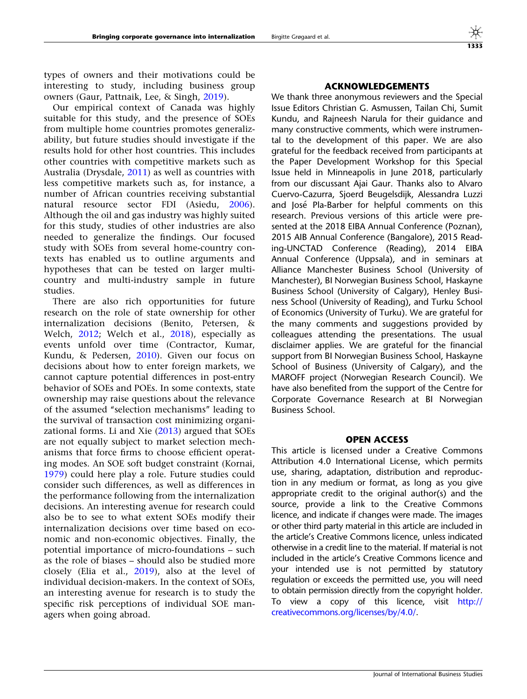types of owners and their motivations could be interesting to study, including business group owners (Gaur, Pattnaik, Lee, & Singh, [2019\)](#page-25-0).

Our empirical context of Canada was highly suitable for this study, and the presence of SOEs from multiple home countries promotes generalizability, but future studies should investigate if the results hold for other host countries. This includes other countries with competitive markets such as Australia (Drysdale, [2011\)](#page-25-0) as well as countries with less competitive markets such as, for instance, a number of African countries receiving substantial natural resource sector FDI (Asiedu, [2006\)](#page-24-0). Although the oil and gas industry was highly suited for this study, studies of other industries are also needed to generalize the findings. Our focused study with SOEs from several home-country contexts has enabled us to outline arguments and hypotheses that can be tested on larger multicountry and multi-industry sample in future studies.

There are also rich opportunities for future research on the role of state ownership for other internalization decisions (Benito, Petersen, & Welch, [2012;](#page-24-0) Welch et al., [2018](#page-27-0)), especially as events unfold over time (Contractor, Kumar, Kundu, & Pedersen, [2010](#page-25-0)). Given our focus on decisions about how to enter foreign markets, we cannot capture potential differences in post-entry behavior of SOEs and POEs. In some contexts, state ownership may raise questions about the relevance of the assumed ''selection mechanisms'' leading to the survival of transaction cost minimizing organizational forms. Li and Xie ([2013\)](#page-26-0) argued that SOEs are not equally subject to market selection mechanisms that force firms to choose efficient operating modes. An SOE soft budget constraint (Kornai, [1979\)](#page-26-0) could here play a role. Future studies could consider such differences, as well as differences in the performance following from the internalization decisions. An interesting avenue for research could also be to see to what extent SOEs modify their internalization decisions over time based on economic and non-economic objectives. Finally, the potential importance of micro-foundations – such as the role of biases – should also be studied more closely (Elia et al., [2019\)](#page-25-0), also at the level of individual decision-makers. In the context of SOEs, an interesting avenue for research is to study the specific risk perceptions of individual SOE managers when going abroad.

## ACKNOWLEDGEMENTS

We thank three anonymous reviewers and the Special Issue Editors Christian G. Asmussen, Tailan Chi, Sumit Kundu, and Rajneesh Narula for their guidance and many constructive comments, which were instrumental to the development of this paper. We are also grateful for the feedback received from participants at the Paper Development Workshop for this Special Issue held in Minneapolis in June 2018, particularly from our discussant Ajai Gaur. Thanks also to Alvaro Cuervo-Cazurra, Sjoerd Beugelsdijk, Alessandra Luzzi and José Pla-Barber for helpful comments on this research. Previous versions of this article were presented at the 2018 EIBA Annual Conference (Poznan), 2015 AIB Annual Conference (Bangalore), 2015 Reading-UNCTAD Conference (Reading), 2014 EIBA Annual Conference (Uppsala), and in seminars at Alliance Manchester Business School (University of Manchester), BI Norwegian Business School, Haskayne Business School (University of Calgary), Henley Business School (University of Reading), and Turku School of Economics (University of Turku). We are grateful for the many comments and suggestions provided by colleagues attending the presentations. The usual disclaimer applies. We are grateful for the financial support from BI Norwegian Business School, Haskayne School of Business (University of Calgary), and the MAROFF project (Norwegian Research Council). We have also benefited from the support of the Centre for Corporate Governance Research at BI Norwegian Business School.

### OPEN ACCESS

This article is licensed under a Creative Commons Attribution 4.0 International License, which permits use, sharing, adaptation, distribution and reproduction in any medium or format, as long as you give appropriate credit to the original author(s) and the source, provide a link to the Creative Commons licence, and indicate if changes were made. The images or other third party material in this article are included in the article's Creative Commons licence, unless indicated otherwise in a credit line to the material. If material is not included in the article's Creative Commons licence and your intended use is not permitted by statutory regulation or exceeds the permitted use, you will need to obtain permission directly from the copyright holder. To view a copy of this licence, visit [http://](http://creativecommons.org/licenses/by/4.0/) [creativecommons.org/licenses/by/4.0/](http://creativecommons.org/licenses/by/4.0/).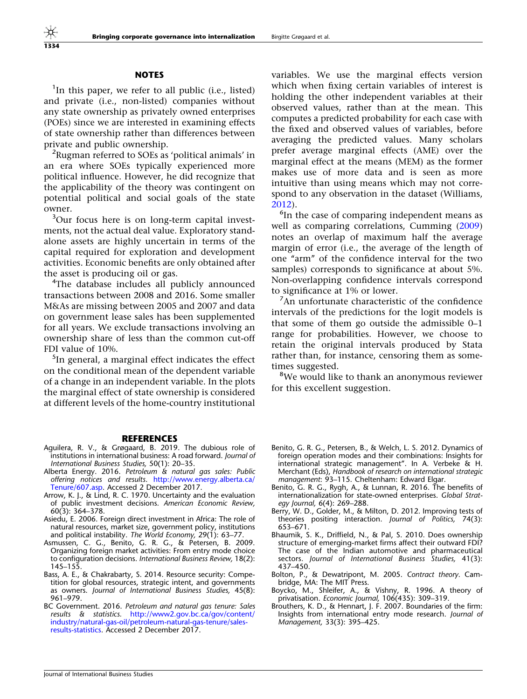#### NOTES

<span id="page-24-0"></span><sup>1</sup>In this paper, we refer to all public (i.e., listed) and private (i.e., non-listed) companies without any state ownership as privately owned enterprises (POEs) since we are interested in examining effects of state ownership rather than differences between private and public ownership.

<sup>2</sup>Rugman referred to SOEs as 'political animals' in an era where SOEs typically experienced more political influence. However, he did recognize that the applicability of the theory was contingent on potential political and social goals of the state owner.

<sup>3</sup>Our focus here is on long-term capital investments, not the actual deal value. Exploratory standalone assets are highly uncertain in terms of the capital required for exploration and development activities. Economic benefits are only obtained after the asset is producing oil or gas.

4 The database includes all publicly announced transactions between 2008 and 2016. Some smaller M&As are missing between 2005 and 2007 and data on government lease sales has been supplemented for all years. We exclude transactions involving an ownership share of less than the common cut-off FDI value of 10%.

<sup>5</sup>In general, a marginal effect indicates the effect on the conditional mean of the dependent variable of a change in an independent variable. In the plots the marginal effect of state ownership is considered at different levels of the home-country institutional

#### **REFERENCES**

- Aguilera, R. V., & Grøgaard, B. 2019. The dubious role of institutions in international business: A road forward. Journal of International Business Studies, 50(1): 20–35.
- Alberta Energy. 2016. Petroleum & natural gas sales: Public offering notices and results. [http://www.energy.alberta.ca/](http://www.energy.alberta.ca/Tenure/607.asp) [Tenure/607.asp.](http://www.energy.alberta.ca/Tenure/607.asp) Accessed 2 December 2017.
- Arrow, K. J., & Lind, R. C. 1970. Uncertainty and the evaluation of public investment decisions. American Economic Review, 60(3): 364–378.
- Asiedu, E. 2006. Foreign direct investment in Africa: The role of natural resources, market size, government policy, institutions and political instability. The World Economy, 29(1): 63–77.
- Asmussen, C. G., Benito, G. R. G., & Petersen, B. 2009. Organizing foreign market activities: From entry mode choice to configuration decisions. International Business Review, 18(2): 145–155.
- Bass, A. E., & Chakrabarty, S. 2014. Resource security: Competition for global resources, strategic intent, and governments as owners. Journal of International Business Studies, 45(8): 961–979.
- BC Government. 2016. Petroleum and natural gas tenure: Sales results & statistics. [http://www2.gov.bc.ca/gov/content/](http://www2.gov.bc.ca/gov/content/industry/natural-gas-oil/petroleum-natural-gas-tenure/sales-results-statistics) [industry/natural-gas-oil/petroleum-natural-gas-tenure/sales](http://www2.gov.bc.ca/gov/content/industry/natural-gas-oil/petroleum-natural-gas-tenure/sales-results-statistics)[results-statistics](http://www2.gov.bc.ca/gov/content/industry/natural-gas-oil/petroleum-natural-gas-tenure/sales-results-statistics). Accessed 2 December 2017.

variables. We use the marginal effects version which when fixing certain variables of interest is holding the other independent variables at their observed values, rather than at the mean. This computes a predicted probability for each case with the fixed and observed values of variables, before averaging the predicted values. Many scholars prefer average marginal effects (AME) over the marginal effect at the means (MEM) as the former makes use of more data and is seen as more intuitive than using means which may not correspond to any observation in the dataset (Williams, [2012\)](#page-27-0).

<sup>6</sup>In the case of comparing independent means as well as comparing correlations, Cumming [\(2009](#page-25-0)) notes an overlap of maximum half the average margin of error (i.e., the average of the length of one ''arm'' of the confidence interval for the two samples) corresponds to significance at about 5%. Non-overlapping confidence intervals correspond to significance at 1% or lower.

<sup>7</sup>An unfortunate characteristic of the confidence intervals of the predictions for the logit models is that some of them go outside the admissible 0–1 range for probabilities. However, we choose to retain the original intervals produced by Stata rather than, for instance, censoring them as sometimes suggested.

<sup>8</sup>We would like to thank an anonymous reviewer for this excellent suggestion.

- Benito, G. R. G., Petersen, B., & Welch, L. S. 2012. Dynamics of foreign operation modes and their combinations: Insights for international strategic management''. In A. Verbeke & H. Merchant (Eds), Handbook of research on international strategic management: 93–115. Cheltenham: Edward Elgar.
- Benito, G. R. G., Rygh, A., & Lunnan, R. 2016. The benefits of internationalization for state-owned enterprises. Global Strategy Journal, 6(4): 269–288.
- Berry, W. D., Golder, M., & Milton, D. 2012. Improving tests of theories positing interaction. Journal of Politics, 74(3): 653–671.
- Bhaumik, S. K., Driffield, N., & Pal, S. 2010. Does ownership structure of emerging-market firms affect their outward FDI? The case of the Indian automotive and pharmaceutical sectors. Journal of International Business Studies, 41(3): 437–450.
- Bolton, P., & Dewatripont, M. 2005. Contract theory. Cambridge, MA: The MIT Press.
- Boycko, M., Shleifer, A., & Vishny, R. 1996. A theory of privatisation. Economic Journal, 106(435): 309-319.
- Brouthers, K. D., & Hennart, J. F. 2007. Boundaries of the firm: Insights from international entry mode research. Journal of Management, 33(3): 395–425.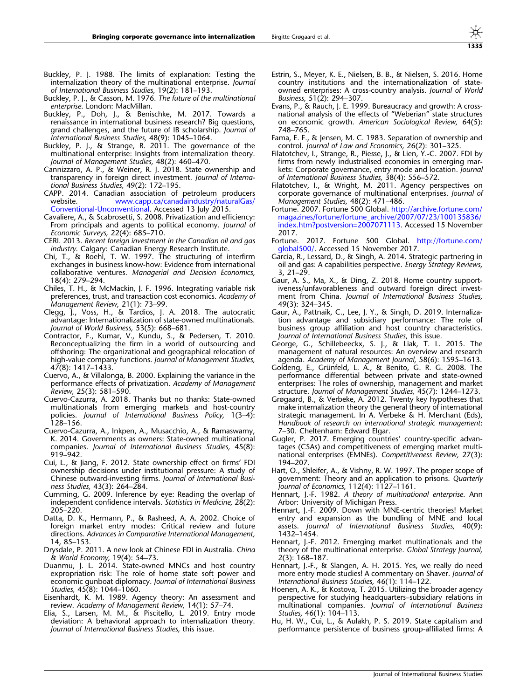- <span id="page-25-0"></span>Buckley, P. J. 1988. The limits of explanation: Testing the internalization theory of the multinational enterprise. Journal of International Business Studies, 19(2): 181–193.
- Buckley, P. J., & Casson, M. 1976. The future of the multinational enterprise. London: MacMillan.
- Buckley, P., Doh, J., & Benischke, M. 2017. Towards a renaissance in international business research? Big questions, grand challenges, and the future of IB scholarship. Journal of International Business Studies, 48(9): 1045–1064.
- Buckley, P. J., & Strange, R. 2011. The governance of the multinational enterprise: Insights from internalization theory. Journal of Management Studies, 48(2): 460–470.
- Cannizzaro, A. P., & Weiner, R. J. 2018. State ownership and transparency in foreign direct investment. Journal of International Business Studies, 49(2): 172–195.
- CAPP. 2014. Canadian association of petroleum producers website. [www.capp.ca/canadaindustry/naturalGas/](http://www.capp.ca/canadaindustry/naturalGas/Conventional-Unconventional) [Conventional-Unconventional](http://www.capp.ca/canadaindustry/naturalGas/Conventional-Unconventional). Accessed 13 July 2015.
- Cavaliere, A., & Scabrosetti, S. 2008. Privatization and efficiency: From principals and agents to political economy. Journal of Economic Surveys, 22(4): 685–710.
- CERI. 2013. Recent foreign investment in the Canadian oil and gas industry. Calgary: Canadian Energy Research Institute.
- Chi, T., & Roehl, T. W. 1997. The structuring of interfirm exchanges in business know-how: Evidence from international collaborative ventures. Managerial and Decision Economics, 18(4): 279–294.
- Chiles, T. H., & McMackin, J. F. 1996. Integrating variable risk preferences, trust, and transaction cost economics. Academy of Management Review, 21(1): 73–99.
- Clegg, J., Voss, H., & Tardios, J. A. 2018. The autocratic advantage: Internationalization of state-owned multinationals. Journal of World Business, 53(5): 668–681.
- Contractor, F., Kumar, V., Kundu, S., & Pedersen, T. 2010. Reconceptualizing the firm in a world of outsourcing and offshoring: The organizational and geographical relocation of high-value company functions. Journal of Management Studies, 47(8): 1417–1433.
- Cuervo, A., & Villalonga, B. 2000. Explaining the variance in the performance effects of privatization. Academy of Management Review, 25(3): 581–590.
- Cuervo-Cazurra, A. 2018. Thanks but no thanks: State-owned multinationals from emerging markets and host-country policies. Journal of International Business Policy, 1(3–4): 128–156.
- Cuervo-Cazurra, A., Inkpen, A., Musacchio, A., & Ramaswamy, K. 2014. Governments as owners: State-owned multinational companies. Journal of International Business Studies, 45(8): 919–942.
- Cui, L., & Jiang, F. 2012. State ownership effect on firms' FDI ownership decisions under institutional pressure: A study of Chinese outward-investing firms. Journal of International Business Studies, 43(3): 264–284.
- Cumming, G. 2009. Inference by eye: Reading the overlap of independent confidence intervals. Statistics in Medicine, 28(2): 205–220.
- Datta, D. K., Hermann, P., & Rasheed, A. A. 2002. Choice of foreign market entry modes: Critical review and future directions. Advances in Comparative International Management, 14, 85–153.
- Drysdale, P. 2011. A new look at Chinese FDI in Australia. China & World Economy, 19(4): 54–73.
- Duanmu, J. L. 2014. State-owned MNCs and host country expropriation risk: The role of home state soft power and economic gunboat diplomacy. Journal of International Business Studies, 45(8): 1044–1060.
- Eisenhardt, K. M. 1989. Agency theory: An assessment and review. Academy of Management Review, 14(1): 57–74.
- Elia, S., Larsen, M. M., & Piscitello, L. 2019. Entry mode deviation: A behavioral approach to internalization theory. Journal of International Business Studies, this issue.
- Estrin, S., Meyer, K. E., Nielsen, B. B., & Nielsen, S. 2016. Home country institutions and the internationalization of stateowned enterprises: A cross-country analysis. Journal of World Business, 51(2): 294–307.
- Evans, P., & Rauch, J. E. 1999. Bureaucracy and growth: A crossnational analysis of the effects of ''Weberian'' state structures on economic growth. American Sociological Review, 64(5): 748–765.
- Fama, E. F., & Jensen, M. C. 1983. Separation of ownership and control. Journal of Law and Economics, 26(2): 301–325.
- Filatotchev, I., Strange, R., Piesse, J., & Lien, Y.-C. 2007. FDI by firms from newly industrialised economies in emerging markets: Corporate governance, entry mode and location. Journal of International Business Studies, 38(4): 556–572.
- Filatotchev, I., & Wright, M. 2011. Agency perspectives on corporate governance of multinational enterprises. Journal of Management Studies, 48(2): 471–486.
- Fortune. 2007. Fortune 500 Global. [http://archive.fortune.com/](http://archive.fortune.com/magazines/fortune/fortune_archive/2007/07/23/100135836/index.htm%3fpostversion%3d2007071113) [magazines/fortune/fortune\\_archive/2007/07/23/100135836/](http://archive.fortune.com/magazines/fortune/fortune_archive/2007/07/23/100135836/index.htm%3fpostversion%3d2007071113) [index.htm?postversion=2007071113.](http://archive.fortune.com/magazines/fortune/fortune_archive/2007/07/23/100135836/index.htm%3fpostversion%3d2007071113) Accessed 15 November 2017.
- Fortune. 2017. Fortune 500 Global. [http://fortune.com/](http://fortune.com/global500/) [global500/](http://fortune.com/global500/). Accessed 15 November 2017.
- Garcia, R., Lessard, D., & Singh, A. 2014. Strategic partnering in oil and gas: A capabilities perspective. Energy Strategy Reviews, 3, 21–29.
- Gaur, A. S., Ma, X., & Ding, Z. 2018. Home country supportiveness/unfavorableness and outward foreign direct investment from China. Journal of International Business Studies, 49(3): 324–345.
- Gaur, A., Pattnaik, C., Lee, J. Y., & Singh, D. 2019. Internalization advantage and subsidiary performance: The role of business group affiliation and host country characteristics. Journal of International Business Studies, this issue.
- George, G., Schillebeeckx, S. J., & Liak, T. L. 2015. The management of natural resources: An overview and research agenda. Academy of Management Journal, 58(6): 1595–1613.
- Goldeng, E., Grünfeld, L. A., & Benito, G. R. G. 2008. The performance differential between private and state-owned enterprises: The roles of ownership, management and market structure. Journal of Management Studies, 45(7): 1244–1273.
- Grøgaard, B., & Verbeke, A. 2012. Twenty key hypotheses that make internalization theory the general theory of international strategic management. In A. Verbeke & H. Merchant (Eds), Handbook of research on international strategic management: 7–30. Cheltenham: Edward Elgar.
- Gugler, P. 2017. Emerging countries' country-specific advantages (CSAs) and competitiveness of emerging market multinational enterprises (EMNEs). Competitiveness Review, 27(3): 194–207.
- Hart, O., Shleifer, A., & Vishny, R. W. 1997. The proper scope of government: Theory and an application to prisons. Quarterly Journal of Economics, 112(4): 1127–1161.
- Hennart, J.-F. 1982. A theory of multinational enterprise. Ann Arbor: University of Michigan Press.
- Hennart, J.-F. 2009. Down with MNE-centric theories! Market entry and expansion as the bundling of MNE and local assets. Journal of International Business Studies, 40(9): 1432–1454.
- Hennart, J.-F. 2012. Emerging market multinationals and the theory of the multinational enterprise. Global Strategy Journal, 2(3): 168–187.
- Hennart, J.-F., & Slangen, A. H. 2015. Yes, we really do need more entry mode studies! A commentary on Shaver. Journal of International Business Studies, 46(1): 114–122.
- Hoenen, A. K., & Kostova, T. 2015. Utilizing the broader agency perspective for studying headquarters–subsidiary relations in multinational companies. Journal of International Business Studies, 46(1): 104–113.
- Hu, H. W., Cui, L., & Aulakh, P. S. 2019. State capitalism and performance persistence of business group-affiliated firms: A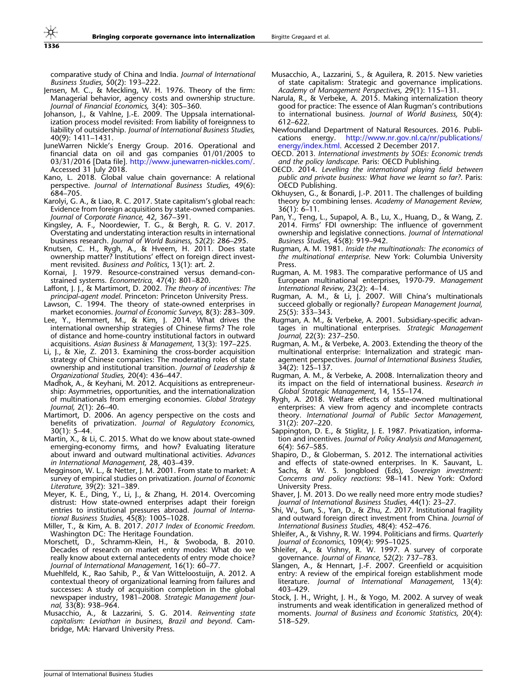<span id="page-26-0"></span>comparative study of China and India. Journal of International Business Studies, 50(2): 193–222.

- Jensen, M. C., & Meckling, W. H. 1976. Theory of the firm: Managerial behavior, agency costs and ownership structure. Journal of Financial Economics, 3(4): 305–360.
- Johanson, J., & Vahlne, J.-E. 2009. The Uppsala internationalization process model revisited: From liability of foreignness to liability of outsidership. Journal of International Business Studies, 40(9): 1411–1431.
- JuneWarren Nickle's Energy Group. 2016. Operational and financial data on oil and gas companies 01/01/2005 to 03/31/2016 [Data file]. [http://www.junewarren-nickles.com/.](http://www.junewarren-nickles.com/) Accessed 31 July 2018.
- Kano, L. 2018. Global value chain governance: A relational perspective. Journal of International Business Studies, 49(6): 684–705.
- Karolyi, G. A., & Liao, R. C. 2017. State capitalism's global reach: Evidence from foreign acquisitions by state-owned companies. Journal of Corporate Finance, 42, 367–391.
- Kingsley, A. F., Noordewier, T. G., & Bergh, R. G. V. 2017. Overstating and understating interaction results in international business research. Journal of World Business, 52(2): 286–295.
- Knutsen, C. H., Rygh, A., & Hveem, H. 2011. Does state ownership matter? Institutions' effect on foreign direct investment revisited. Business and Politics, 13(1): art. 2.
- Kornai, J. 1979. Resource-constrained versus demand-constrained systems. Econometrica, 47(4): 801–820.
- Laffont, J. J., & Martimort, D. 2002. The theory of incentives: The principal-agent model. Princeton: Princeton University Press.
- Lawson, C. 1994. The theory of state-owned enterprises in market economies. Journal of Economic Surveys, 8(3): 283–309.
- Lee, Y., Hemmert, M., & Kim, J. 2014. What drives the international ownership strategies of Chinese firms? The role of distance and home-country institutional factors in outward acquisitions. Asian Business & Management, 13(3): 197–225.
- Li, J., & Xie, Z. 2013. Examining the cross-border acquisition strategy of Chinese companies: The moderating roles of state ownership and institutional transition. Journal of Leadership & Organizational Studies, 20(4): 436–447.
- Madhok, A., & Keyhani, M. 2012. Acquisitions as entrepreneurship: Asymmetries, opportunities, and the internationalization of multinationals from emerging economies. Global Strategy Journal, 2(1): 26–40.
- Martimort, D. 2006. An agency perspective on the costs and benefits of privatization. Journal of Regulatory Economics, 30(1): 5–44.
- Martin, X., & Li, C. 2015. What do we know about state-owned emerging-economy firms, and how? Evaluating literature about inward and outward multinational activities. Advances in International Management, 28, 403–439.
- Megginson, W. L., & Netter, J. M. 2001. From state to market: A survey of empirical studies on privatization. Journal of Economic Literature, 39(2): 321–389.
- Meyer, K. E., Ding, Y., Li, J., & Zhang, H. 2014. Overcoming distrust: How state-owned enterprises adapt their foreign entries to institutional pressures abroad. Journal of International Business Studies, 45(8): 1005–1028.
- Miller, T., & Kim, A. B. 2017. 2017 Index of Economic Freedom. Washington DC: The Heritage Foundation.
- Morschett, D., Schramm-Klein, H., & Swoboda, B. 2010. Decades of research on market entry modes: What do we really know about external antecedents of entry mode choice? Journal of International Management, 16(1): 60–77.
- Muehlfeld, K., Rao Sahib, P., & Van Witteloostuijn, A. 2012. A contextual theory of organizational learning from failures and successes: A study of acquisition completion in the global newspaper industry, 1981–2008. Strategic Management Journal, 33(8): 938–964.
- Musacchio, A., & Lazzarini, S. G. 2014. Reinventing state capitalism: Leviathan in business, Brazil and beyond. Cambridge, MA: Harvard University Press.
- Musacchio, A., Lazzarini, S., & Aguilera, R. 2015. New varieties of state capitalism: Strategic and governance implications. Academy of Management Perspectives, 29(1): 115–131.
- Narula, R., & Verbeke, A. 2015. Making internalization theory good for practice: The essence of Alan Rugman's contributions to international business. Journal of World Business, 50(4): 612–622.
- Newfoundland Department of Natural Resources. 2016. Publi-<br>cations energy. http://www.nr.gov.nl.ca/nr/publications/ [http://www.nr.gov.nl.ca/nr/publications/](http://www.nr.gov.nl.ca/nr/publications/energy/index.html) [energy/index.html](http://www.nr.gov.nl.ca/nr/publications/energy/index.html). Accessed 2 December 2017.
- OECD. 2013. International investments by SOEs: Economic trends and the policy landscape. Paris: OECD Publishing.
- OECD. 2014. Levelling the international playing field between public and private business: What have we learnt so far?. Paris: OECD Publishing.
- Okhuysen, G., & Bonardi, J.-P. 2011. The challenges of building theory by combining lenses. Academy of Management Review, 36(1): 6–11.
- Pan, Y., Teng, L., Supapol, A. B., Lu, X., Huang, D., & Wang, Z. 2014. Firms' FDI ownership: The influence of government ownership and legislative connections. Journal of International Business Studies, 45(8): 919–942.
- Rugman, A. M. 1981. Inside the multinationals: The economics of the multinational enterprise. New York: Columbia University Press.
- Rugman, A. M. 1983. The comparative performance of US and European multinational enterprises, 1970-79. Management International Review, 23(2): 4–14.
- Rugman, A. M., & Li, J. 2007. Will China's multinationals succeed globally or regionally? European Management Journal, 25(5): 333–343.
- Rugman, A. M., & Verbeke, A. 2001. Subsidiary-specific advantages in multinational enterprises. Strategic Management Journal, 22(3): 237–250.
- Rugman, A. M., & Verbeke, A. 2003. Extending the theory of the multinational enterprise: Internalization and strategic management perspectives. Journal of International Business Studies, 34(2): 125–137.
- Rugman, A. M., & Verbeke, A. 2008. Internalization theory and its impact on the field of international business. Research in Global Strategic Management, 14, 155–174.
- Rygh, A. 2018. Welfare effects of state-owned multinational enterprises: A view from agency and incomplete contracts theory. International Journal of Public Sector Management, 31(2): 207–220.
- Sappington, D. E., & Stiglitz, J. E. 1987. Privatization, information and incentives. Journal of Policy Analysis and Management, 6(4): 567–585.
- Shapiro, D., & Globerman, S. 2012. The international activities and effects of state-owned enterprises. In K. Sauvant, L. Sachs, & W. S. Jongbloed (Eds), Sovereign investment: Concerns and policy reactions: 98–141. New York: Oxford University Press.
- Shaver, J. M. 2013. Do we really need more entry mode studies? Journal of International Business Studies, 44(1): 23–27.
- Shi, W., Sun, S., Yan, D., & Zhu, Z. 2017. Institutional fragility and outward foreign direct investment from China. Journal of International Business Studies, 48(4): 452–476.
- Shleifer, A., & Vishny, R. W. 1994. Politicians and firms. Quarterly Journal of Economics, 109(4): 995–1025.
- Shleifer, A., & Vishny, R. W. 1997. A survey of corporate governance. Journal of Finance, 52(2): 737–783.
- Slangen, A., & Hennart, J.-F. 2007. Greenfield or acquisition entry: A review of the empirical foreign establishment mode literature. Journal of International Management, 13(4): 403–429.
- Stock, J. H., Wright, J. H., & Yogo, M. 2002. A survey of weak instruments and weak identification in generalized method of moments. Journal of Business and Economic Statistics, 20(4): 518–529.